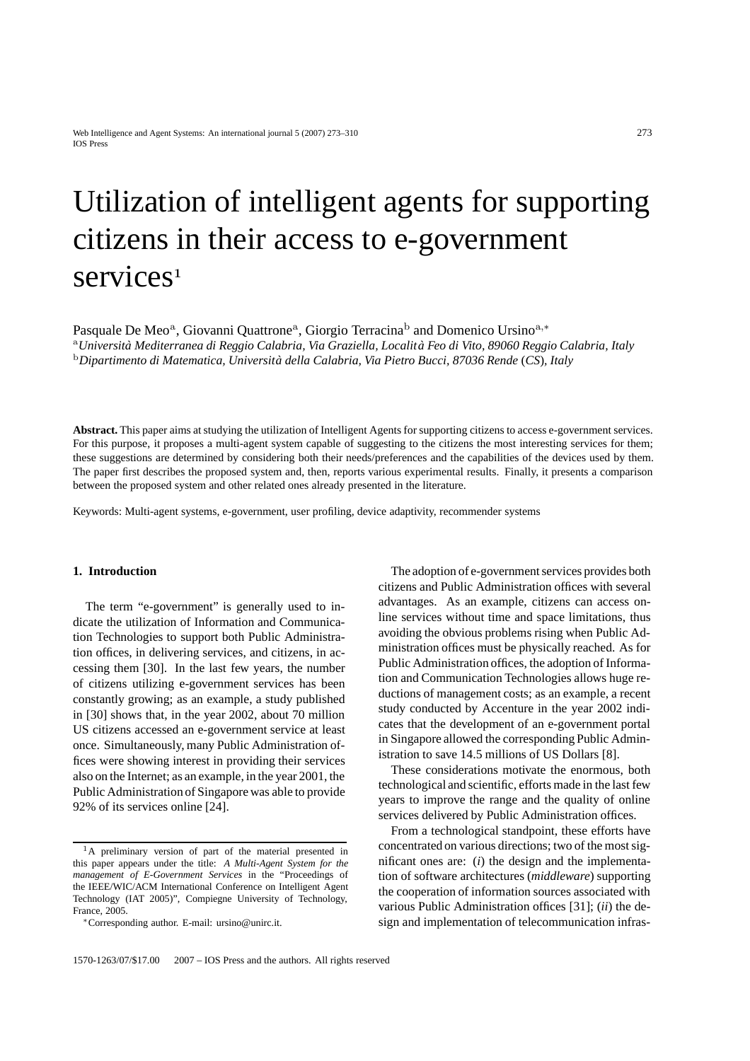# Utilization of intelligent agents for supporting citizens in their access to e-government services**<sup>1</sup>**

Pasquale De Meo<sup>a</sup>, Giovanni Quattrone<sup>a</sup>, Giorgio Terracina<sup>b</sup> and Domenico Ursino<sup>a,∗</sup>

<sup>a</sup>*Universita Mediterranea di Reggio Calabria, Via Graziella, Localit ` a Feo di Vito, 89060 Reggio Calabria, Italy `* <sup>b</sup>*Dipartimento di Matematica, Universita della Calabria, Via Pietro Bucci, 87036 Rende `* (*CS*)*, Italy*

**Abstract.** This paper aims at studying the utilization of Intelligent Agents for supporting citizens to access e-government services. For this purpose, it proposes a multi-agent system capable of suggesting to the citizens the most interesting services for them; these suggestions are determined by considering both their needs/preferences and the capabilities of the devices used by them. The paper first describes the proposed system and, then, reports various experimental results. Finally, it presents a comparison between the proposed system and other related ones already presented in the literature.

Keywords: Multi-agent systems, e-government, user profiling, device adaptivity, recommender systems

# **1. Introduction**

The term "e-government" is generally used to indicate the utilization of Information and Communication Technologies to support both Public Administration offices, in delivering services, and citizens, in accessing them [30]. In the last few years, the number of citizens utilizing e-government services has been constantly growing; as an example, a study published in [30] shows that, in the year 2002, about 70 million US citizens accessed an e-government service at least once. Simultaneously, many Public Administration offices were showing interest in providing their services also on the Internet; as an example, in the year 2001, the Public Administration of Singapore was able to provide 92% of its services online [24].

The adoption of e-government services provides both citizens and Public Administration offices with several advantages. As an example, citizens can access online services without time and space limitations, thus avoiding the obvious problems rising when Public Administration offices must be physically reached. As for Public Administration offices, the adoption of Information and Communication Technologies allows huge reductions of management costs; as an example, a recent study conducted by Accenture in the year 2002 indicates that the development of an e-government portal in Singapore allowed the corresponding Public Administration to save 14.5 millions of US Dollars [8].

These considerations motivate the enormous, both technological and scientific, efforts made in the last few years to improve the range and the quality of online services delivered by Public Administration offices.

From a technological standpoint, these efforts have concentrated on various directions; two of the most significant ones are: (*i*) the design and the implementation of software architectures (*middleware*) supporting the cooperation of information sources associated with various Public Administration offices [31]; (*ii*) the design and implementation of telecommunication infras-

<sup>1</sup>A preliminary version of part of the material presented in this paper appears under the title: *A Multi-Agent System for the management of E-Government Services* in the "Proceedings of the IEEE/WIC/ACM International Conference on Intelligent Agent Technology (IAT 2005)", Compiegne University of Technology, France, 2005.

<sup>∗</sup>Corresponding author. E-mail: ursino@unirc.it.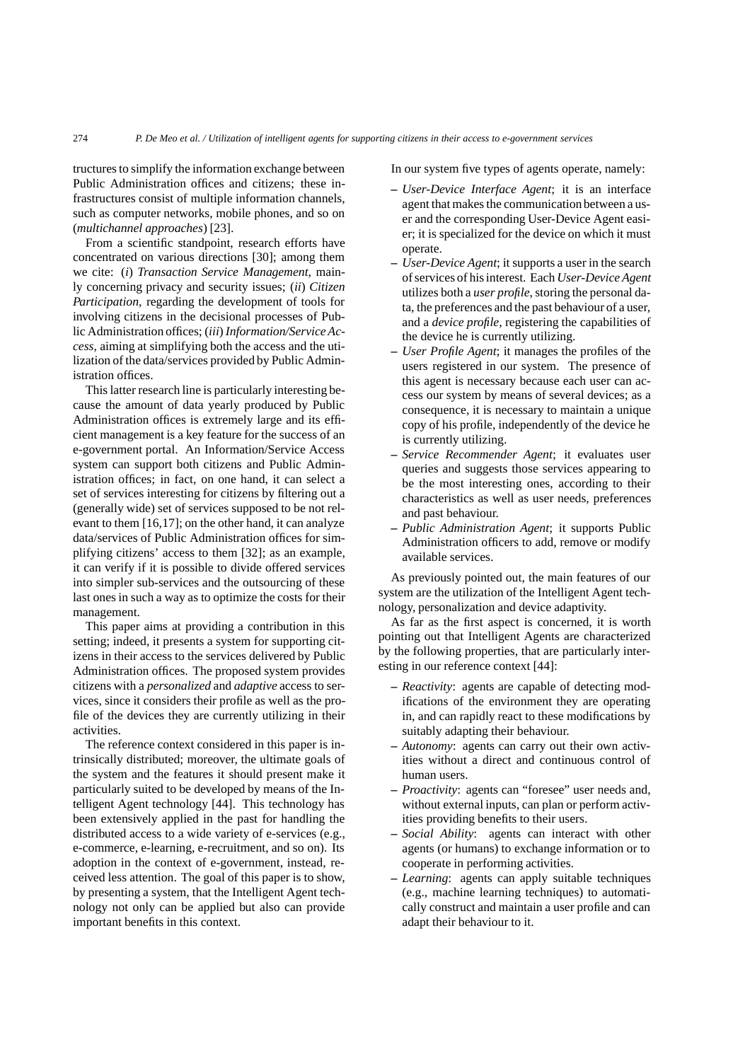tructures to simplify the information exchange between Public Administration offices and citizens; these infrastructures consist of multiple information channels, such as computer networks, mobile phones, and so on (*multichannel approaches*) [23].

From a scientific standpoint, research efforts have concentrated on various directions [30]; among them we cite: (*i*) *Transaction Service Management*, mainly concerning privacy and security issues; (*ii*) *Citizen Participation*, regarding the development of tools for involving citizens in the decisional processes of Public Administration offices; (*iii*) *Information/Service Access*, aiming at simplifying both the access and the utilization of the data/services provided by Public Administration offices.

This latter research line is particularly interesting because the amount of data yearly produced by Public Administration offices is extremely large and its efficient management is a key feature for the success of an e-government portal. An Information/Service Access system can support both citizens and Public Administration offices; in fact, on one hand, it can select a set of services interesting for citizens by filtering out a (generally wide) set of services supposed to be not relevant to them [16,17]; on the other hand, it can analyze data/services of Public Administration offices for simplifying citizens' access to them [32]; as an example, it can verify if it is possible to divide offered services into simpler sub-services and the outsourcing of these last ones in such a way as to optimize the costs for their management.

This paper aims at providing a contribution in this setting; indeed, it presents a system for supporting citizens in their access to the services delivered by Public Administration offices. The proposed system provides citizens with a *personalized* and *adaptive* access to services, since it considers their profile as well as the profile of the devices they are currently utilizing in their activities.

The reference context considered in this paper is intrinsically distributed; moreover, the ultimate goals of the system and the features it should present make it particularly suited to be developed by means of the Intelligent Agent technology [44]. This technology has been extensively applied in the past for handling the distributed access to a wide variety of e-services (e.g., e-commerce, e-learning, e-recruitment, and so on). Its adoption in the context of e-government, instead, received less attention. The goal of this paper is to show, by presenting a system, that the Intelligent Agent technology not only can be applied but also can provide important benefits in this context.

In our system five types of agents operate, namely:

- **–** *User-Device Interface Agent*; it is an interface agent that makes the communication between a user and the corresponding User-Device Agent easier; it is specialized for the device on which it must operate.
- **–** *User-Device Agent*; it supports a user in the search of services of his interest. Each *User-Device Agent* utilizes both a *user profile*, storing the personal data, the preferences and the past behaviour of a user, and a *device profile*, registering the capabilities of the device he is currently utilizing.
- **–** *User Profile Agent*; it manages the profiles of the users registered in our system. The presence of this agent is necessary because each user can access our system by means of several devices; as a consequence, it is necessary to maintain a unique copy of his profile, independently of the device he is currently utilizing.
- **–** *Service Recommender Agent*; it evaluates user queries and suggests those services appearing to be the most interesting ones, according to their characteristics as well as user needs, preferences and past behaviour.
- **–** *Public Administration Agent*; it supports Public Administration officers to add, remove or modify available services.

As previously pointed out, the main features of our system are the utilization of the Intelligent Agent technology, personalization and device adaptivity.

As far as the first aspect is concerned, it is worth pointing out that Intelligent Agents are characterized by the following properties, that are particularly interesting in our reference context [44]:

- **–** *Reactivity*: agents are capable of detecting modifications of the environment they are operating in, and can rapidly react to these modifications by suitably adapting their behaviour.
- **–** *Autonomy*: agents can carry out their own activities without a direct and continuous control of human users.
- **–** *Proactivity*: agents can "foresee" user needs and, without external inputs, can plan or perform activities providing benefits to their users.
- **–** *Social Ability*: agents can interact with other agents (or humans) to exchange information or to cooperate in performing activities.
- **–** *Learning*: agents can apply suitable techniques (e.g., machine learning techniques) to automatically construct and maintain a user profile and can adapt their behaviour to it.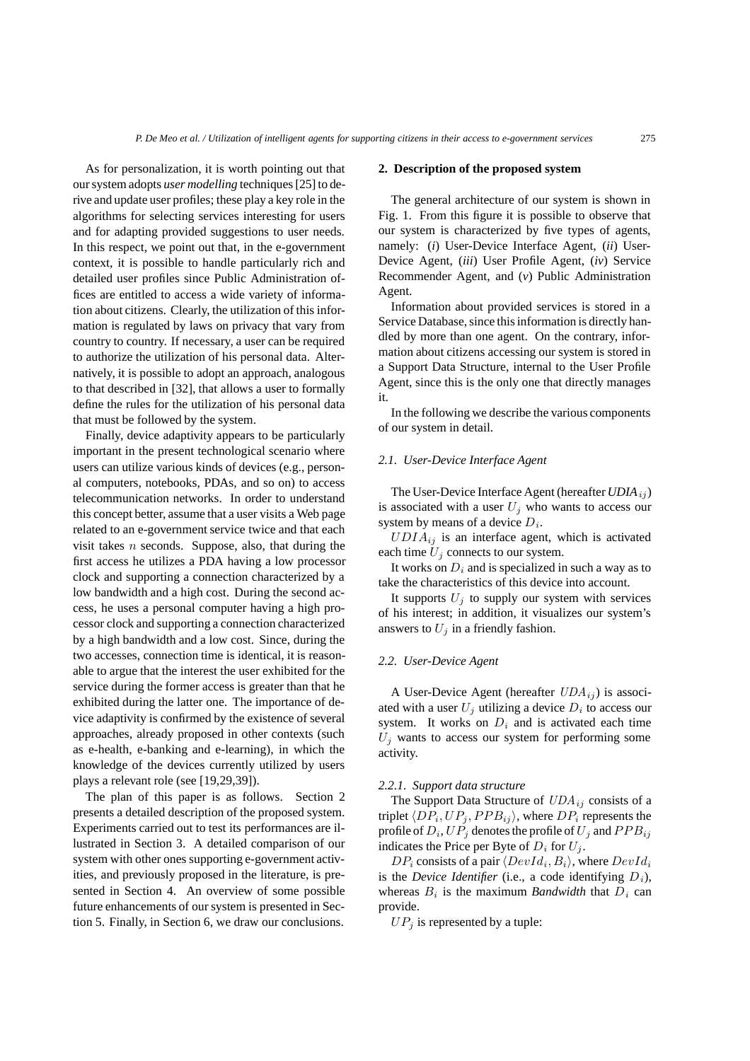As for personalization, it is worth pointing out that our system adopts *user modelling* techniques [25] to derive and update user profiles; these play a key role in the algorithms for selecting services interesting for users and for adapting provided suggestions to user needs. In this respect, we point out that, in the e-government context, it is possible to handle particularly rich and detailed user profiles since Public Administration offices are entitled to access a wide variety of information about citizens. Clearly, the utilization of this information is regulated by laws on privacy that vary from country to country. If necessary, a user can be required to authorize the utilization of his personal data. Alternatively, it is possible to adopt an approach, analogous to that described in [32], that allows a user to formally define the rules for the utilization of his personal data that must be followed by the system.

Finally, device adaptivity appears to be particularly important in the present technological scenario where users can utilize various kinds of devices (e.g., personal computers, notebooks, PDAs, and so on) to access telecommunication networks. In order to understand this concept better, assume that a user visits a Web page related to an e-government service twice and that each visit takes  $n$  seconds. Suppose, also, that during the first access he utilizes a PDA having a low processor clock and supporting a connection characterized by a low bandwidth and a high cost. During the second access, he uses a personal computer having a high processor clock and supporting a connection characterized by a high bandwidth and a low cost. Since, during the two accesses, connection time is identical, it is reasonable to argue that the interest the user exhibited for the service during the former access is greater than that he exhibited during the latter one. The importance of device adaptivity is confirmed by the existence of several approaches, already proposed in other contexts (such as e-health, e-banking and e-learning), in which the knowledge of the devices currently utilized by users plays a relevant role (see [19,29,39]).

The plan of this paper is as follows. Section 2 presents a detailed description of the proposed system. Experiments carried out to test its performances are illustrated in Section 3. A detailed comparison of our system with other ones supporting e-government activities, and previously proposed in the literature, is presented in Section 4. An overview of some possible future enhancements of our system is presented in Section 5. Finally, in Section 6, we draw our conclusions.

#### **2. Description of the proposed system**

The general architecture of our system is shown in Fig. 1. From this figure it is possible to observe that our system is characterized by five types of agents, namely: (*i*) User-Device Interface Agent, (*ii*) User-Device Agent, (*iii*) User Profile Agent, (*iv*) Service Recommender Agent, and (*v*) Public Administration Agent.

Information about provided services is stored in a Service Database, since this information is directly handled by more than one agent. On the contrary, information about citizens accessing our system is stored in a Support Data Structure, internal to the User Profile Agent, since this is the only one that directly manages it.

In the following we describe the various components of our system in detail.

#### *2.1. User-Device Interface Agent*

The User-Device Interface Agent (hereafter *UDIAij* ) is associated with a user  $U_j$  who wants to access our system by means of a device D*i*.

 $UDIA_{ij}$  is an interface agent, which is activated each time  $U_j$  connects to our system.

It works on  $D_i$  and is specialized in such a way as to take the characteristics of this device into account.

It supports  $U_j$  to supply our system with services of his interest; in addition, it visualizes our system's answers to  $U_j$  in a friendly fashion.

#### *2.2. User-Device Agent*

A User-Device Agent (hereafter *UDAij* ) is associated with a user  $U_j$  utilizing a device  $D_i$  to access our system. It works on  $D_i$  and is activated each time  $U_i$  wants to access our system for performing some activity.

#### *2.2.1. Support data structure*

The Support Data Structure of *UDAij* consists of a triplet  $\langle DP_i, UP_j, PPB_{ij} \rangle$ , where  $DP_i$  represents the profile of  $D_i$ ,  $UP_j$  denotes the profile of  $U_j$  and  $PPB_{ij}$ indicates the Price per Byte of  $D_i$  for  $U_j$ .

 $DP_i$  consists of a pair  $\langle DevId_i, B_i \rangle$ , where  $DevId_i$ is the *Device Identifier* (i.e., a code identifying D*i*), whereas  $B_i$  is the maximum *Bandwidth* that  $D_i$  can provide.

 $UP_i$  is represented by a tuple: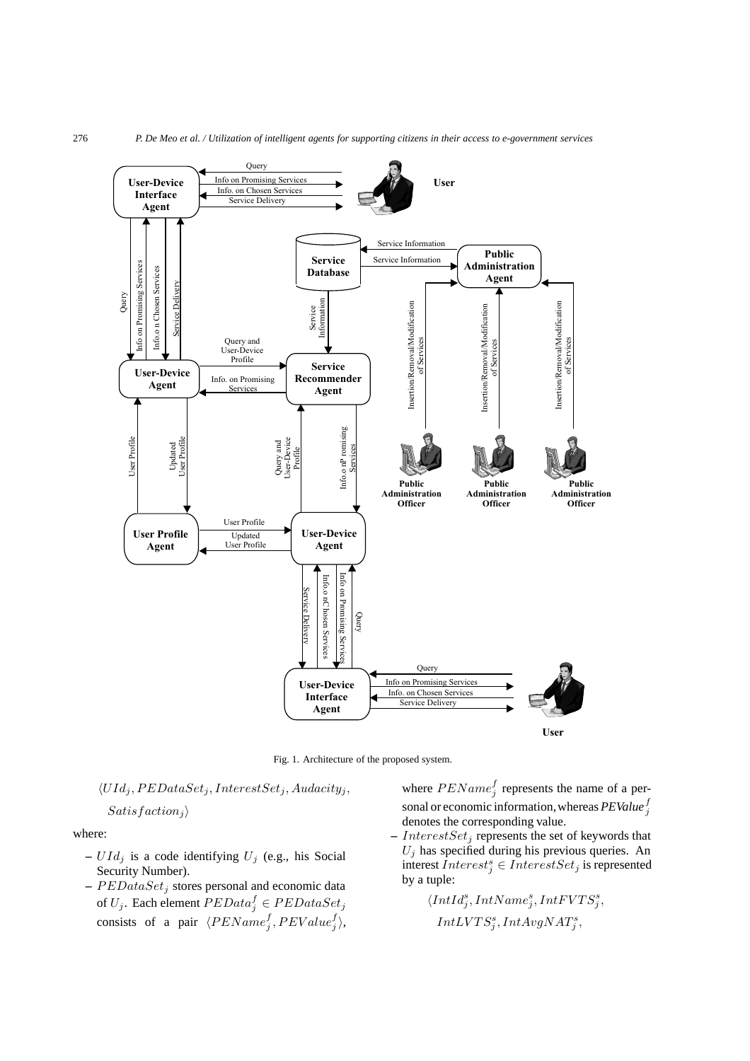

Fig. 1. Architecture of the proposed system.

# $\langle UId_j, PEDataSet_j, InterestSet_j, Audacity_j,$

### $Satisfaction<sub>j</sub>$

where:

- **–** UId*<sup>j</sup>* is a code identifying U*<sup>j</sup>* (e.g., his Social Security Number).
- **–** P EDataSet*<sup>j</sup>* stores personal and economic data of  $U_j$ . Each element  $PEData^f_j \in PEDataSet_j$ consists of a pair  $\langle PEName_j^f, PEValue_j^f \rangle$ ,

where  $PEName_j^f$  represents the name of a personal or economic information, whereas  $PEValue^f_j$ denotes the corresponding value.

**–** InterestSet*<sup>j</sup>* represents the set of keywords that  $U_j$  has specified during his previous queries. An interest  $Interest_j^s \in InterestSet_j$  is represented by a tuple:

> $\langle IntId_j^s, IntName_j^s, IntFVTS_j^s, \rangle$  $IntLVTS_j^s$ ,  $IntAvgNAT_j^s$ ,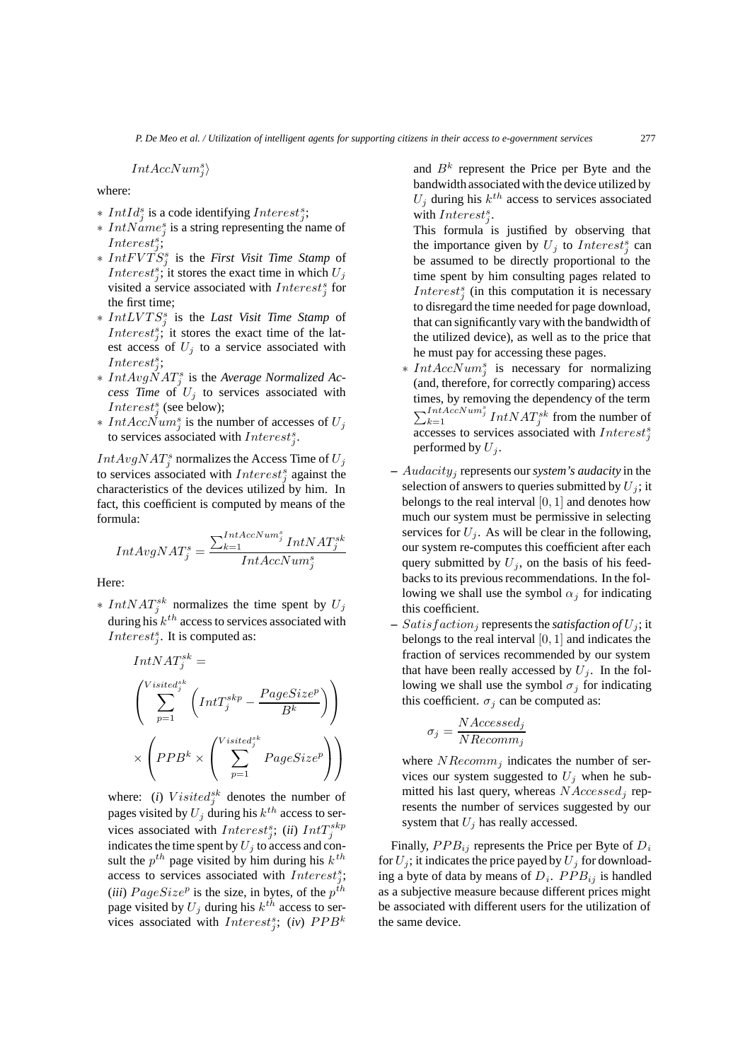$IntAccNum_j^s\rangle$ 

where:

- ∗ IntId*<sup>s</sup> <sup>j</sup>* is a code identifying Interest*<sup>s</sup> j* ;
- ∗ IntN ame*<sup>s</sup> <sup>j</sup>* is a string representing the name of  $Interest_j^s;$
- ∗ IntF V T S*<sup>s</sup> <sup>j</sup>* is the *First Visit Time Stamp* of Interest<sup>*s*</sup></sup>; it stores the exact time in which  $U_j$ visited a service associated with  $Interest_j^s$  for the first time;
- ∗ IntLV T S*<sup>s</sup> <sup>j</sup>* is the *Last Visit Time Stamp* of *Interest<sup>s</sup>*; it stores the exact time of the latest access of  $U_j$  to a service associated with Interest*<sup>s</sup> j* ;
- ∗ IntAvgNAT *<sup>s</sup> <sup>j</sup>* is the *Average Normalized Access Time* of  $U_j$  to services associated with *Interest<sup>s</sup>*</sup> (see below);
- $* IntAccNum_j^s$  is the number of accesses of  $U_j$ to services associated with  $Interest_j^s$ .

 $IntAvgNAT<sub>j</sub><sup>s</sup>$  normalizes the Access Time of  $U<sub>j</sub>$ to services associated with Interest*<sup>s</sup> <sup>j</sup>* against the characteristics of the devices utilized by him. In fact, this coefficient is computed by means of the formula:

$$
IntAvgNAT_{j}^{s} = \frac{\sum_{k=1}^{IntAccNum_{j}^{s}}IntNAT_{j}^{sk}}{IntAccNum_{j}^{s}}
$$

Here:

 $* Int NAT_j^{sk}$  normalizes the time spent by  $U_j$ during his k*th* access to services associated with *Interest<sup>s</sup>*. It is computed as:

$$
Int NAT_j^{sk} =
$$
\n
$$
\left( \sum_{p=1}^{Visted_j^{sk}} \left( IntT_j^{skp} - \frac{PageSize^p}{B^k} \right) \right)
$$
\n
$$
\times \left( PPB^k \times \left( \sum_{p=1}^{Visted_j^{sk}} PageSize^p \right) \right)
$$

where: (*i*)  $V$ *isited*<sup> $sk$ </sup> denotes the number of pages visited by  $U_j$  during his  $k^{th}$  access to services associated with  $Interest_j^s$ ; (*ii*)  $IntT_j^{skp}$ indicates the time spent by  $U_j$  to access and consult the  $p^{th}$  page visited by him during his  $k^{th}$ access to services associated with *Interest<sup>s</sup>*; (*iii*)  $PageSize<sup>p</sup>$  is the size, in bytes, of the  $p<sup>th</sup>$ page visited by  $U_j$  during his  $k^{th}$  access to services associated with  $Interest_j^s$ ; (*iv*)  $PPB^k$ 

and  $B<sup>k</sup>$  represent the Price per Byte and the bandwidth associated with the device utilized by  $U_j$  during his  $k^{th}$  access to services associated with Interest*<sup>s</sup> j* .

This formula is justified by observing that the importance given by  $U_j$  to  $Interest_j^s$  can be assumed to be directly proportional to the time spent by him consulting pages related to *Interest<sub>i</sub>*</sub> (in this computation it is necessary to disregard the time needed for page download, that can significantly vary with the bandwidth of the utilized device), as well as to the price that he must pay for accessing these pages.

- ∗ IntAccNum*<sup>s</sup> <sup>j</sup>* is necessary for normalizing (and, therefore, for correctly comparing) access times, by removing the dependency of the term  $\sum_{k=1}^{IntAccNum_j^s} IntNAT_j^{sk}$  from the number of accesses to services associated with Interest*<sup>s</sup> j* performed by  $U_j$ .
- **–** Audacity*<sup>j</sup>* represents our*system's audacity* in the selection of answers to queries submitted by  $U_j$ ; it belongs to the real interval  $[0, 1]$  and denotes how much our system must be permissive in selecting services for  $U_i$ . As will be clear in the following, our system re-computes this coefficient after each query submitted by  $U_j$ , on the basis of his feedbacks to its previous recommendations. In the following we shall use the symbol  $\alpha_j$  for indicating this coefficient.
- $-$  *Satisfaction<sub>j</sub>* represents the *satisfaction of*  $U_j$ ; it belongs to the real interval [0, 1] and indicates the fraction of services recommended by our system that have been really accessed by  $U_i$ . In the following we shall use the symbol  $\sigma_j$  for indicating this coefficient.  $\sigma_j$  can be computed as:

$$
\sigma_j = \frac{NAccessed_j}{NRecomm_j}
$$

where  $NRecomm_j$  indicates the number of services our system suggested to  $U_j$  when he submitted his last query, whereas NAccessed*<sup>j</sup>* represents the number of services suggested by our system that  $U_j$  has really accessed.

Finally, PPB*ij* represents the Price per Byte of D*<sup>i</sup>* for  $U_i$ ; it indicates the price payed by  $U_j$  for downloading a byte of data by means of D*i*. PPB*ij* is handled as a subjective measure because different prices might be associated with different users for the utilization of the same device.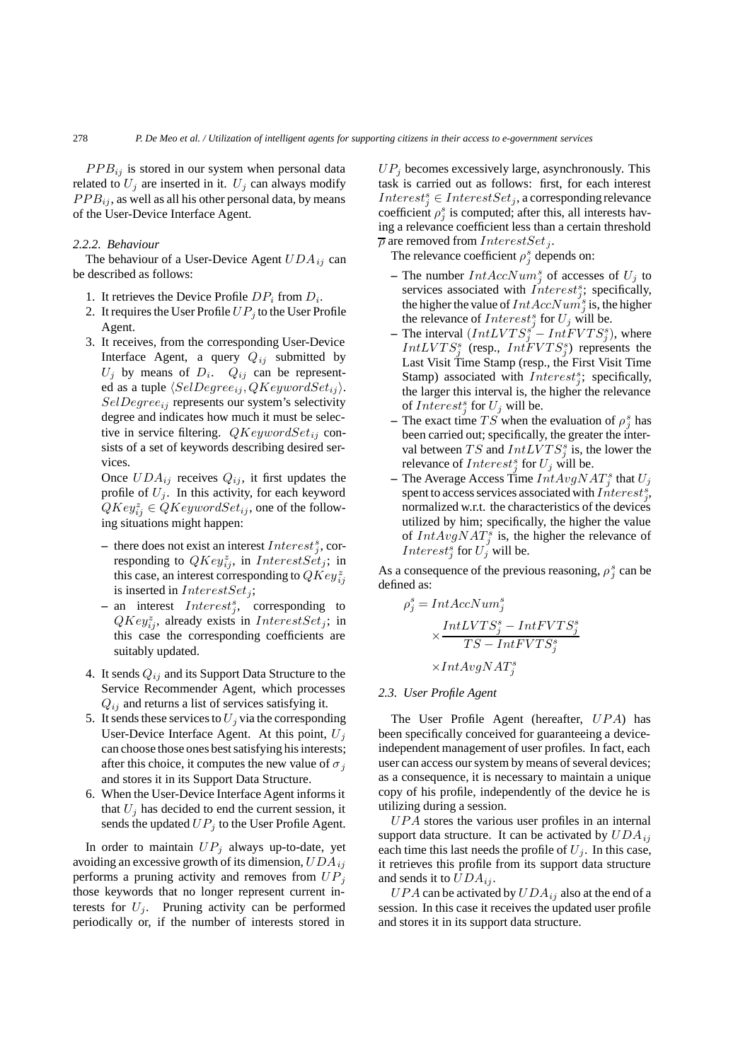$PPB_{ij}$  is stored in our system when personal data related to  $U_j$  are inserted in it.  $U_j$  can always modify  $PPB_{ij}$ , as well as all his other personal data, by means of the User-Device Interface Agent.

# *2.2.2. Behaviour*

The behaviour of a User-Device Agent UDA*ij* can be described as follows:

- 1. It retrieves the Device Profile  $DP_i$  from  $D_i$ .
- 2. It requires the User Profile  $UP_j$  to the User Profile Agent.
- 3. It receives, from the corresponding User-Device Interface Agent, a query Q*ij* submitted by  $U_j$  by means of  $D_i$ .  $Q_{ij}$  can be represented as a tuple  $\langle SelDegree_{ij}, QKeywordSet_{ij} \rangle$ . SelDegree*ij* represents our system's selectivity degree and indicates how much it must be selective in service filtering. QKeywordSet*ij* consists of a set of keywords describing desired services.

Once  $UDA_{ij}$  receives  $Q_{ij}$ , it first updates the profile of  $U_i$ . In this activity, for each keyword  $QKey_{ij}^z \in \overline{QKeywordSet_{ij}}$ , one of the following situations might happen:

- $\blacksquare$  there does not exist an interest *Interest<sup>s</sup>*, corresponding to  $QKey_{ij}^z$ , in *InterestSet<sub>j</sub>*; in this case, an interest corresponding to  $QKey_{ij}^z$ is inserted in InterestSet*j*;
- $-$  an interest *Interest<sup>s</sup></sup>,* corresponding to  $QKey_{ij}^z$ , already exists in *InterestSet<sub>j</sub>*; in this case the corresponding coefficients are suitably updated.
- 4. It sends Q*ij* and its Support Data Structure to the Service Recommender Agent, which processes Q*ij* and returns a list of services satisfying it.
- 5. It sends these services to  $U_j$  via the corresponding User-Device Interface Agent. At this point, U*<sup>j</sup>* can choose those ones best satisfying his interests; after this choice, it computes the new value of  $\sigma_j$ and stores it in its Support Data Structure.
- 6. When the User-Device Interface Agent informs it that  $U_j$  has decided to end the current session, it sends the updated  $UP_j$  to the User Profile Agent.

In order to maintain  $UP_j$  always up-to-date, yet avoiding an excessive growth of its dimension, UDA*ij* performs a pruning activity and removes from  $UP_i$ those keywords that no longer represent current interests for  $U_i$ . Pruning activity can be performed periodically or, if the number of interests stored in

 $UP_i$  becomes excessively large, asynchronously. This task is carried out as follows: first, for each interest  $Interest<sup>s</sup><sub>j</sub> ∈ InterestSet<sub>j</sub>$ , a corresponding relevance coefficient  $\rho_j^s$  is computed; after this, all interests having a relevance coefficient less than a certain threshold  $\bar{\rho}$  are removed from *InterestSet*<sub>*i*</sub>.

The relevance coefficient  $\rho_j^s$  depends on:

- $-$  The number  $IntAccNum_j^s$  of accesses of  $U_j$  to services associated with  $Interest_j^s$ ; specifically, the higher the value of  $IntAccNum_j^s$  is, the higher the relevance of *Interest<sup>s</sup>*</sup> for  $U_j$  will be.
- $\sim$  The interval  $\left(IntLVTS_j^{s'} IntFVTS_j^{s}\right)$ , where  $IntLVTS_j^s$  (resp.,  $IntFVTS_j^s$ ) represents the Last Visit Time Stamp (resp., the First Visit Time Stamp) associated with  $Interest_j^s$ ; specifically, the larger this interval is, the higher the relevance of  $Interest_j^s$  for  $U_j$  will be.
- $-$  The exact time  $TS$  when the evaluation of  $\rho_j^s$  has been carried out; specifically, the greater the interval between TS and  $IntLVTS_j^s$  is, the lower the relevance of *Interest<sup>s</sup>*</sup> for  $U_j$  will be.
- $-$  The Average Access Time  $IntAvgNAT_j^s$  that  $U_j$ spent to access services associated with  $Interest_j^{\tilde{s}}$ , normalized w.r.t. the characteristics of the devices utilized by him; specifically, the higher the value of  $IntAvgNAT_j^s$  is, the higher the relevance of *Interest<sup>s</sup>*</sup> for  $U_j$ <sup>*'*</sup> will be.

As a consequence of the previous reasoning,  $\rho_j^s$  can be defined as:

$$
\rho_j^s = IntAccNum_j^s
$$
  
 
$$
\times \frac{IntLVTS_j^s - IntFVTS_j^s}{TS - IntFVTS_j^s}
$$
  
 
$$
\times IntAvgNAT_j^s
$$

#### *2.3. User Profile Agent*

The User Profile Agent (hereafter, UPA) has been specifically conceived for guaranteeing a deviceindependent management of user profiles. In fact, each user can access our system by means of several devices; as a consequence, it is necessary to maintain a unique copy of his profile, independently of the device he is utilizing during a session.

 $UPA$  stores the various user profiles in an internal support data structure. It can be activated by UDA*ij* each time this last needs the profile of  $U_j$ . In this case, it retrieves this profile from its support data structure and sends it to  $UDA_{ij}$ .

 $UPA$  can be activated by  $UDA_{ij}$  also at the end of a session. In this case it receives the updated user profile and stores it in its support data structure.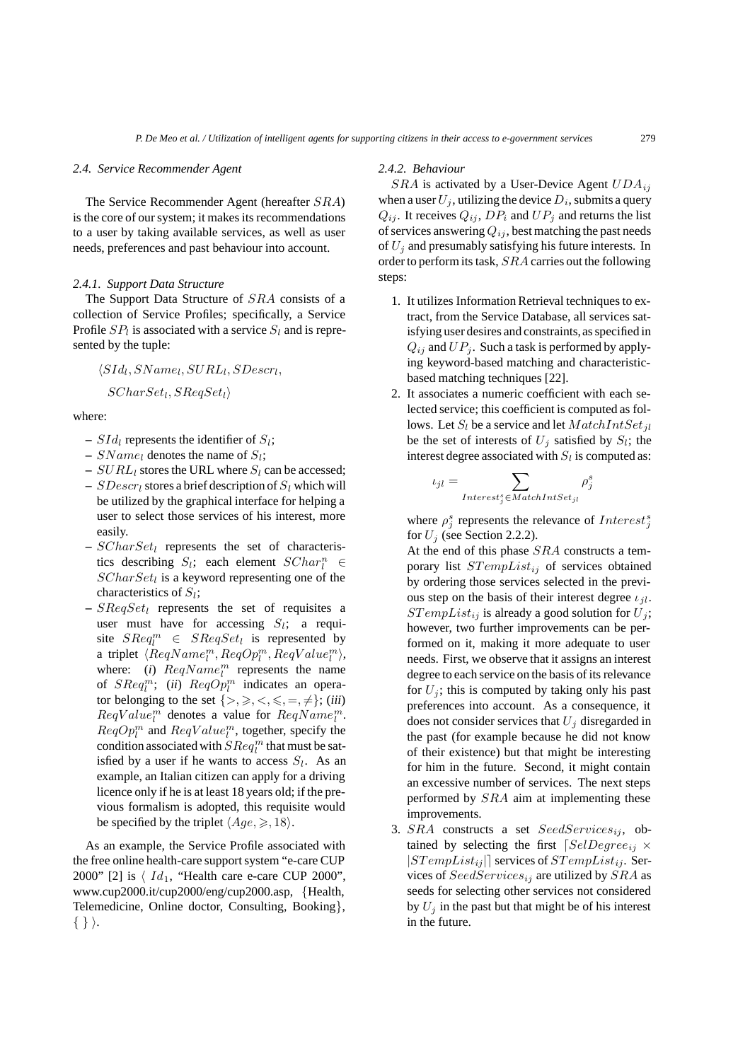#### *2.4. Service Recommender Agent*

The Service Recommender Agent (hereafter SRA) is the core of our system; it makes its recommendations to a user by taking available services, as well as user needs, preferences and past behaviour into account.

# *2.4.1. Support Data Structure*

The Support Data Structure of SRA consists of a collection of Service Profiles; specifically, a Service Profile  $SP_l$  is associated with a service  $S_l$  and is represented by the tuple:

SId*l*, SN ame*l*, SURL*l*, SDescr*l*,

 $\emph{SCharSet}_l, \emph{SRegSet}_l \rangle$ 

where:

- $-$  *SId<sub>l</sub>* represents the identifier of  $S_l$ ;
- $-$  SN ame<sub>l</sub> denotes the name of  $S_l$ ;
- $-$  SURL<sub>l</sub> stores the URL where  $S_l$  can be accessed;
- $-$  SDescr<sub>l</sub> stores a brief description of  $S_l$  which will be utilized by the graphical interface for helping a user to select those services of his interest, more easily.
- **–** SCharSet*<sup>l</sup>* represents the set of characteristics describing  $S_l$ ; each element  $SChar_l^n \in$ SCharSet*<sup>l</sup>* is a keyword representing one of the characteristics of S*l*;
- **–** SReqSet*<sup>l</sup>* represents the set of requisites a user must have for accessing S*l*; a requisite  $SReg^m \in SRegSet_l$  is represented by a triplet  $\langle RegName_l^m, RegOp_l^m, RegValue_l^m \rangle$ , where: (*i*)  $ReqName_l^m$  represents the name of  $SReq_l^m$ ; (*ii*)  $ReqOp_l^m$  indicates an operator belonging to the set  $\{>, \geq, <, \leq, =, \neq\}$ ; *(iii)*  $ReqValue_l^m$  denotes a value for  $ReqName_l^m$ .  $ReqOp_l^m$  and  $ReqValue_l^m$ , together, specify the condition associated with  $S {Re} q_l^m$  that must be satisfied by a user if he wants to access  $S_l$ . As an example, an Italian citizen can apply for a driving licence only if he is at least 18 years old; if the previous formalism is adopted, this requisite would be specified by the triplet  $\langle Age, \geq 18 \rangle$ .

As an example, the Service Profile associated with the free online health-care support system "e-care CUP 2000" [2] is  $\langle Id_1,$  "Health care e-care CUP 2000", www.cup2000.it/cup2000/eng/cup2000.asp, {Health, Telemedicine, Online doctor, Consulting, Booking},  $\{\ \}$ .

#### *2.4.2. Behaviour*

SRA is activated by a User-Device Agent UDA*ij* when a user  $U_j$ , utilizing the device  $D_i$ , submits a query  $Q_{ij}$ . It receives  $Q_{ij}$ ,  $DP_i$  and  $UP_j$  and returns the list of services answering  $Q_{ij}$ , best matching the past needs of U*<sup>j</sup>* and presumably satisfying his future interests. In order to perform its task, SRA carries out the following steps:

- 1. It utilizes Information Retrieval techniques to extract, from the Service Database, all services satisfying user desires and constraints, as specified in  $Q_{ij}$  and  $UP_j$ . Such a task is performed by applying keyword-based matching and characteristicbased matching techniques [22].
- 2. It associates a numeric coefficient with each selected service; this coefficient is computed as follows. Let  $S_l$  be a service and let  $MatchIntSet_{jl}$ be the set of interests of  $U_j$  satisfied by  $S_l$ ; the interest degree associated with  $S_l$  is computed as:

$$
\iota_{jl} = \sum_{Interest_j^s \in MatchIntSet_{jl}} \rho_j^s
$$

where  $\rho_j^s$  represents the relevance of *Interest<sup>s</sup>*</sup> for  $U_j$  (see Section 2.2.2).

At the end of this phase SRA constructs a temporary list  $STempList_{ij}$  of services obtained by ordering those services selected in the previous step on the basis of their interest degree  $i_{il}$ .  $STempList_{ij}$  is already a good solution for  $U_j$ ; however, two further improvements can be performed on it, making it more adequate to user needs. First, we observe that it assigns an interest degree to each service on the basis of its relevance for  $U_j$ ; this is computed by taking only his past preferences into account. As a consequence, it does not consider services that U*<sup>j</sup>* disregarded in the past (for example because he did not know of their existence) but that might be interesting for him in the future. Second, it might contain an excessive number of services. The next steps performed by SRA aim at implementing these improvements.

3. SRA constructs a set SeedServices*ij*, obtained by selecting the first  $[SelDegree_{ij} \times$  $|STempList_{ij}|$  services of  $STempList_{ij}$ . Services of SeedServices*ij* are utilized by SRA as seeds for selecting other services not considered by  $U_j$  in the past but that might be of his interest in the future.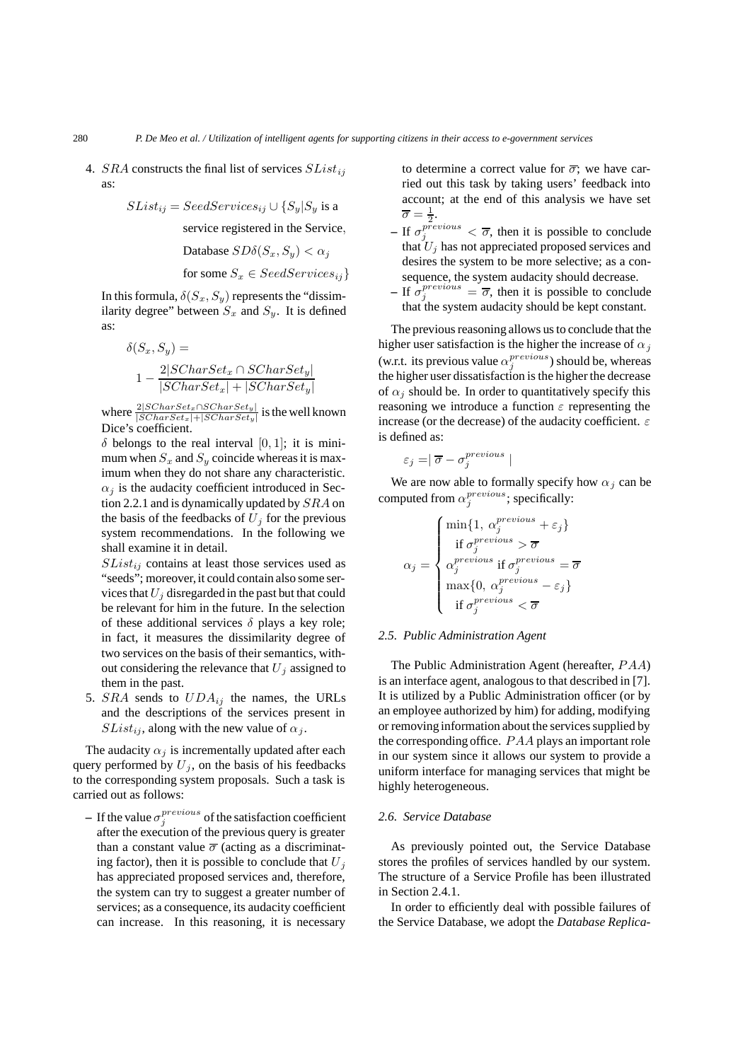4. SRA constructs the final list of services SList*ij* as:

$$
SList_{ij} = SeedServices_{ij} \cup \{S_y | S_y \text{ is a }
$$

service registered in the Service,

Database 
$$
SD\delta(S_x, S_y) < \alpha_j
$$

for some  $S_x \in \textit{Seed} \textit{Service} s_{ij}$ 

In this formula,  $\delta(S_x, S_y)$  represents the "dissimilarity degree" between  $S_x$  and  $S_y$ . It is defined as:

$$
\delta(S_x, S_y) =
$$
  
1 - 
$$
\frac{2|SCharSet_x \cap SCharSet_y|}{|SCharSet_x| + |SCharSet_y|}
$$

where <sup>2</sup>|*SCharSetx*∩*SCharSety*<sup>|</sup> <sup>|</sup>*SCharSetx*|+|*SCharSety*<sup>|</sup> is the well known Dice's coefficient.

 $\delta$  belongs to the real interval [0, 1]; it is minimum when  $S_x$  and  $S_y$  coincide whereas it is maximum when they do not share any characteristic.  $\alpha_j$  is the audacity coefficient introduced in Section 2.2.1 and is dynamically updated by SRA on the basis of the feedbacks of  $U_j$  for the previous system recommendations. In the following we shall examine it in detail.

SList*ij* contains at least those services used as "seeds"; moreover, it could contain also some services that  $U_i$  disregarded in the past but that could be relevant for him in the future. In the selection of these additional services  $\delta$  plays a key role; in fact, it measures the dissimilarity degree of two services on the basis of their semantics, without considering the relevance that  $U_j$  assigned to them in the past.

5. SRA sends to UDA*ij* the names, the URLs and the descriptions of the services present in  $SList_{ij}$ , along with the new value of  $\alpha_j$ .

The audacity  $\alpha_j$  is incrementally updated after each query performed by  $U_j$ , on the basis of his feedbacks to the corresponding system proposals. Such a task is carried out as follows:

 $\overline{\phantom{a}}$  **–** If the value  $\sigma_j^{previous}$  of the satisfaction coefficient after the execution of the previous query is greater than a constant value  $\overline{\sigma}$  (acting as a discriminating factor), then it is possible to conclude that  $U_i$ has appreciated proposed services and, therefore, the system can try to suggest a greater number of services; as a consequence, its audacity coefficient can increase. In this reasoning, it is necessary

to determine a correct value for  $\overline{\sigma}$ ; we have carried out this task by taking users' feedback into account; at the end of this analysis we have set  $\overline{\sigma}=\frac{1}{2}.$ 

- $-$  If  $\sigma_j^{previous} < \overline{\sigma}$ , then it is possible to conclude that  $U_j$  has not appreciated proposed services and desires the system to be more selective; as a consequence, the system audacity should decrease.
- $-\text{ If } \sigma_j^{previous} = \overline{\sigma}$ , then it is possible to conclude that the system audacity should be kept constant.

The previous reasoning allows us to conclude that the higher user satisfaction is the higher the increase of  $\alpha_j$ (w.r.t. its previous value  $\alpha_j^{previous}$ ) should be, whereas the higher user dissatisfaction is the higher the decrease of  $\alpha_j$  should be. In order to quantitatively specify this reasoning we introduce a function  $\varepsilon$  representing the increase (or the decrease) of the audacity coefficient.  $\varepsilon$ is defined as:

$$
\varepsilon_j = \mid \overline{\sigma} - \sigma_j^{previous} \mid
$$

We are now able to formally specify how  $\alpha_i$  can be computed from  $\alpha_j^{previous}$ ; specifically:

$$
\alpha_j = \begin{cases}\n\min\{1, \alpha_j^{previous} + \varepsilon_j\} \\
\text{if } \sigma_j^{previous} > \overline{\sigma} \\
\alpha_j^{previous} & \text{if } \sigma_j^{previous} = \overline{\sigma} \\
\max\{0, \alpha_j^{previous} - \varepsilon_j\} \\
\text{if } \sigma_j^{previous} < \overline{\sigma}\n\end{cases}
$$

#### *2.5. Public Administration Agent*

The Public Administration Agent (hereafter, PAA) is an interface agent, analogous to that described in [7]. It is utilized by a Public Administration officer (or by an employee authorized by him) for adding, modifying or removing information about the services supplied by the corresponding office. P AA plays an important role in our system since it allows our system to provide a uniform interface for managing services that might be highly heterogeneous.

#### *2.6. Service Database*

As previously pointed out, the Service Database stores the profiles of services handled by our system. The structure of a Service Profile has been illustrated in Section 2.4.1.

In order to efficiently deal with possible failures of the Service Database, we adopt the *Database Replica-*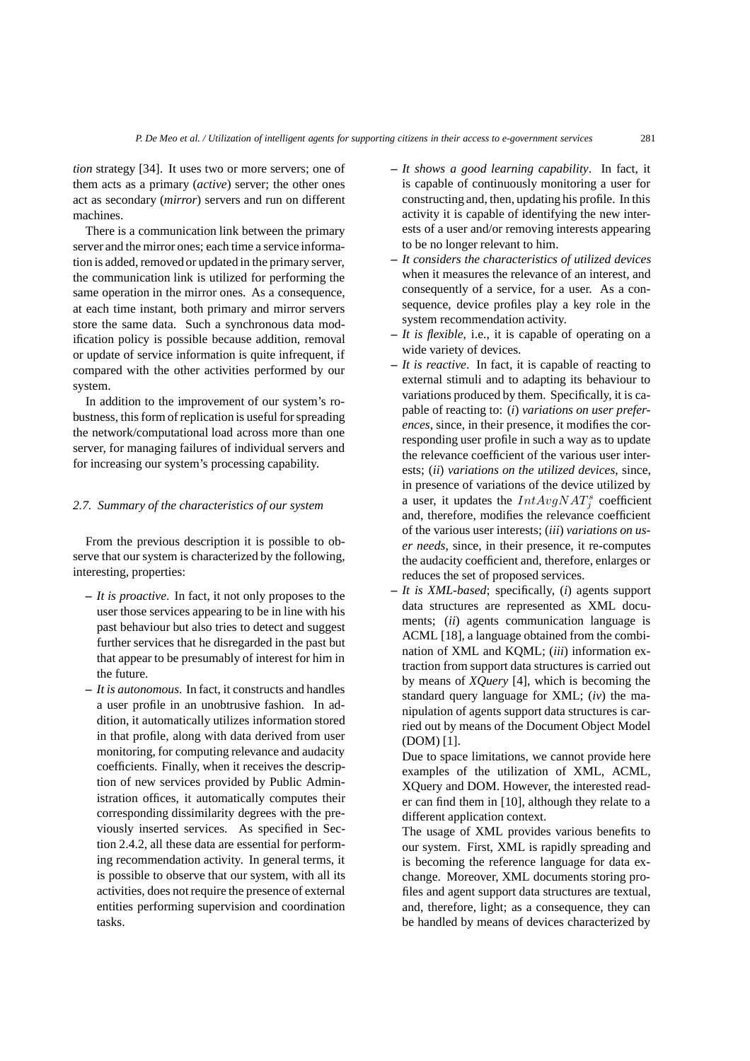*tion* strategy [34]. It uses two or more servers; one of them acts as a primary (*active*) server; the other ones act as secondary (*mirror*) servers and run on different machines.

There is a communication link between the primary server and the mirror ones; each time a service information is added, removed or updated in the primary server, the communication link is utilized for performing the same operation in the mirror ones. As a consequence, at each time instant, both primary and mirror servers store the same data. Such a synchronous data modification policy is possible because addition, removal or update of service information is quite infrequent, if compared with the other activities performed by our system.

In addition to the improvement of our system's robustness, this form of replication is useful for spreading the network/computational load across more than one server, for managing failures of individual servers and for increasing our system's processing capability.

#### *2.7. Summary of the characteristics of our system*

From the previous description it is possible to observe that our system is characterized by the following, interesting, properties:

- **–** *It is proactive*. In fact, it not only proposes to the user those services appearing to be in line with his past behaviour but also tries to detect and suggest further services that he disregarded in the past but that appear to be presumably of interest for him in the future.
- **–** *It is autonomous*. In fact, it constructs and handles a user profile in an unobtrusive fashion. In addition, it automatically utilizes information stored in that profile, along with data derived from user monitoring, for computing relevance and audacity coefficients. Finally, when it receives the description of new services provided by Public Administration offices, it automatically computes their corresponding dissimilarity degrees with the previously inserted services. As specified in Section 2.4.2, all these data are essential for performing recommendation activity. In general terms, it is possible to observe that our system, with all its activities, does not require the presence of external entities performing supervision and coordination tasks.
- **–** *It shows a good learning capability*. In fact, it is capable of continuously monitoring a user for constructing and, then, updating his profile. In this activity it is capable of identifying the new interests of a user and/or removing interests appearing to be no longer relevant to him.
- **–** *It considers the characteristics of utilized devices* when it measures the relevance of an interest, and consequently of a service, for a user. As a consequence, device profiles play a key role in the system recommendation activity.
- **–** *It is flexible*, i.e., it is capable of operating on a wide variety of devices.
- **–** *It is reactive*. In fact, it is capable of reacting to external stimuli and to adapting its behaviour to variations produced by them. Specifically, it is capable of reacting to: (*i*) *variations on user preferences*, since, in their presence, it modifies the corresponding user profile in such a way as to update the relevance coefficient of the various user interests; (*ii*) *variations on the utilized devices*, since, in presence of variations of the device utilized by a user, it updates the  $IntAvgNAT<sub>j</sub><sup>s</sup>$  coefficient and, therefore, modifies the relevance coefficient of the various user interests; (*iii*) *variations on user needs*, since, in their presence, it re-computes the audacity coefficient and, therefore, enlarges or reduces the set of proposed services.
- **–** *It is XML-based*; specifically, (*i*) agents support data structures are represented as XML documents; (*ii*) agents communication language is ACML [18], a language obtained from the combination of XML and KQML; (*iii*) information extraction from support data structures is carried out by means of *XQuery* [4], which is becoming the standard query language for XML; (*iv*) the manipulation of agents support data structures is carried out by means of the Document Object Model (DOM) [1].

Due to space limitations, we cannot provide here examples of the utilization of XML, ACML, XQuery and DOM. However, the interested reader can find them in [10], although they relate to a different application context.

The usage of XML provides various benefits to our system. First, XML is rapidly spreading and is becoming the reference language for data exchange. Moreover, XML documents storing profiles and agent support data structures are textual, and, therefore, light; as a consequence, they can be handled by means of devices characterized by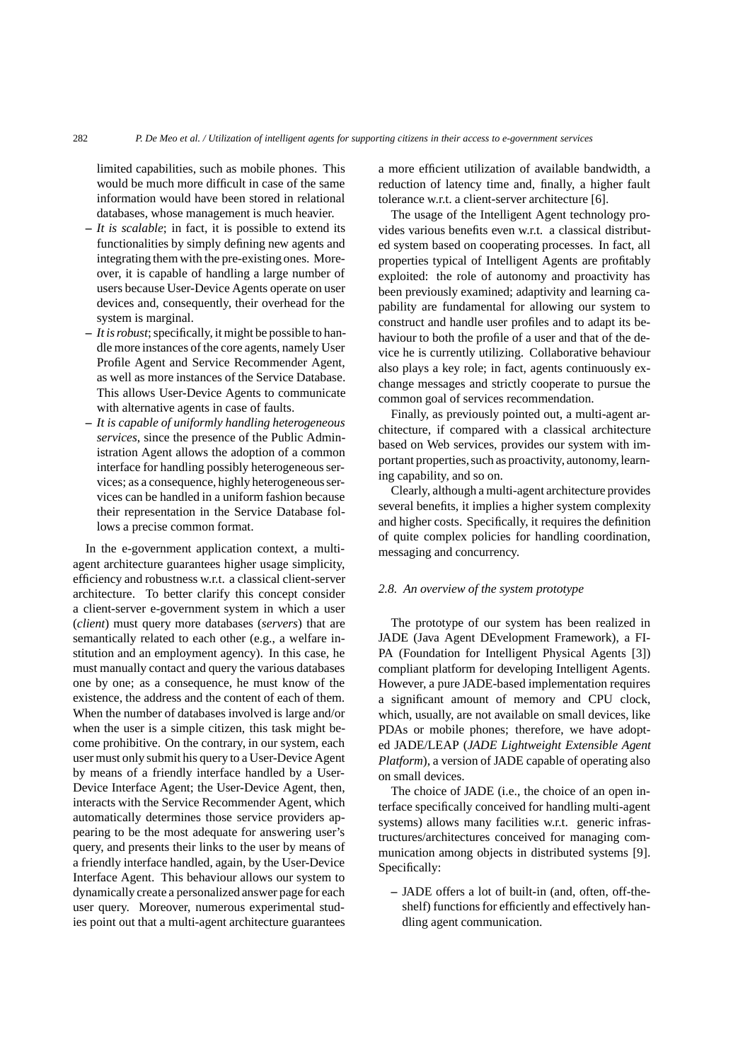limited capabilities, such as mobile phones. This would be much more difficult in case of the same information would have been stored in relational databases, whose management is much heavier.

- **–** *It is scalable*; in fact, it is possible to extend its functionalities by simply defining new agents and integrating them with the pre-existing ones. Moreover, it is capable of handling a large number of users because User-Device Agents operate on user devices and, consequently, their overhead for the system is marginal.
- **–** *It is robust*; specifically, it might be possible to handle more instances of the core agents, namely User Profile Agent and Service Recommender Agent, as well as more instances of the Service Database. This allows User-Device Agents to communicate with alternative agents in case of faults.
- **–** *It is capable of uniformly handling heterogeneous services*, since the presence of the Public Administration Agent allows the adoption of a common interface for handling possibly heterogeneous services; as a consequence, highly heterogeneous services can be handled in a uniform fashion because their representation in the Service Database follows a precise common format.

In the e-government application context, a multiagent architecture guarantees higher usage simplicity, efficiency and robustness w.r.t. a classical client-server architecture. To better clarify this concept consider a client-server e-government system in which a user (*client*) must query more databases (*servers*) that are semantically related to each other (e.g., a welfare institution and an employment agency). In this case, he must manually contact and query the various databases one by one; as a consequence, he must know of the existence, the address and the content of each of them. When the number of databases involved is large and/or when the user is a simple citizen, this task might become prohibitive. On the contrary, in our system, each user must only submit his query to a User-Device Agent by means of a friendly interface handled by a User-Device Interface Agent; the User-Device Agent, then, interacts with the Service Recommender Agent, which automatically determines those service providers appearing to be the most adequate for answering user's query, and presents their links to the user by means of a friendly interface handled, again, by the User-Device Interface Agent. This behaviour allows our system to dynamically create a personalized answer page for each user query. Moreover, numerous experimental studies point out that a multi-agent architecture guarantees a more efficient utilization of available bandwidth, a reduction of latency time and, finally, a higher fault tolerance w.r.t. a client-server architecture [6].

The usage of the Intelligent Agent technology provides various benefits even w.r.t. a classical distributed system based on cooperating processes. In fact, all properties typical of Intelligent Agents are profitably exploited: the role of autonomy and proactivity has been previously examined; adaptivity and learning capability are fundamental for allowing our system to construct and handle user profiles and to adapt its behaviour to both the profile of a user and that of the device he is currently utilizing. Collaborative behaviour also plays a key role; in fact, agents continuously exchange messages and strictly cooperate to pursue the common goal of services recommendation.

Finally, as previously pointed out, a multi-agent architecture, if compared with a classical architecture based on Web services, provides our system with important properties, such as proactivity, autonomy, learning capability, and so on.

Clearly, although a multi-agent architecture provides several benefits, it implies a higher system complexity and higher costs. Specifically, it requires the definition of quite complex policies for handling coordination, messaging and concurrency.

#### *2.8. An overview of the system prototype*

The prototype of our system has been realized in JADE (Java Agent DEvelopment Framework), a FI-PA (Foundation for Intelligent Physical Agents [3]) compliant platform for developing Intelligent Agents. However, a pure JADE-based implementation requires a significant amount of memory and CPU clock, which, usually, are not available on small devices, like PDAs or mobile phones; therefore, we have adopted JADE/LEAP (*JADE Lightweight Extensible Agent Platform*), a version of JADE capable of operating also on small devices.

The choice of JADE (i.e., the choice of an open interface specifically conceived for handling multi-agent systems) allows many facilities w.r.t. generic infrastructures/architectures conceived for managing communication among objects in distributed systems [9]. Specifically:

**–** JADE offers a lot of built-in (and, often, off-theshelf) functions for efficiently and effectively handling agent communication.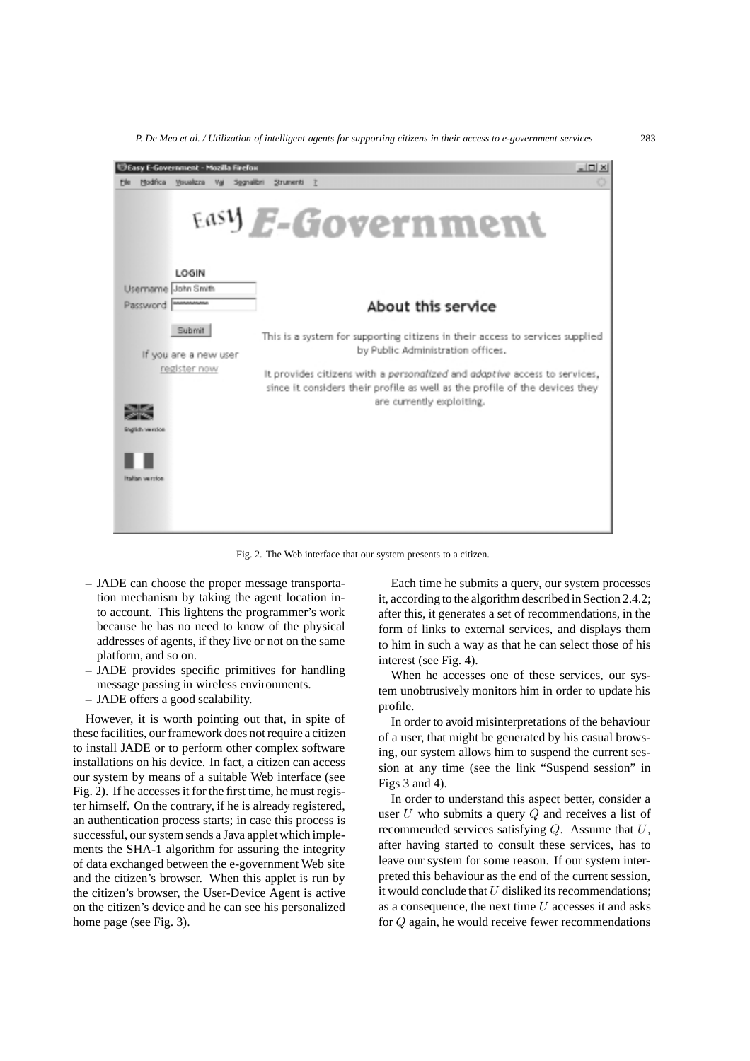*P. De Meo et al. / Utilization of intelligent agents for supporting citizens in their access to e-government services* 283



Fig. 2. The Web interface that our system presents to a citizen.

- **–** JADE can choose the proper message transportation mechanism by taking the agent location into account. This lightens the programmer's work because he has no need to know of the physical addresses of agents, if they live or not on the same platform, and so on.
- **–** JADE provides specific primitives for handling message passing in wireless environments.
- **–** JADE offers a good scalability.

However, it is worth pointing out that, in spite of these facilities, our framework does not require a citizen to install JADE or to perform other complex software installations on his device. In fact, a citizen can access our system by means of a suitable Web interface (see Fig. 2). If he accesses it for the first time, he must register himself. On the contrary, if he is already registered, an authentication process starts; in case this process is successful, our system sends a Java applet which implements the SHA-1 algorithm for assuring the integrity of data exchanged between the e-government Web site and the citizen's browser. When this applet is run by the citizen's browser, the User-Device Agent is active on the citizen's device and he can see his personalized home page (see Fig. 3).

Each time he submits a query, our system processes it, according to the algorithm described in Section 2.4.2; after this, it generates a set of recommendations, in the form of links to external services, and displays them to him in such a way as that he can select those of his interest (see Fig. 4).

When he accesses one of these services, our system unobtrusively monitors him in order to update his profile.

In order to avoid misinterpretations of the behaviour of a user, that might be generated by his casual browsing, our system allows him to suspend the current session at any time (see the link "Suspend session" in Figs 3 and 4).

In order to understand this aspect better, consider a user  $U$  who submits a query  $Q$  and receives a list of recommended services satisfying Q. Assume that U, after having started to consult these services, has to leave our system for some reason. If our system interpreted this behaviour as the end of the current session, it would conclude that  $U$  disliked its recommendations: as a consequence, the next time  $U$  accesses it and asks for Q again, he would receive fewer recommendations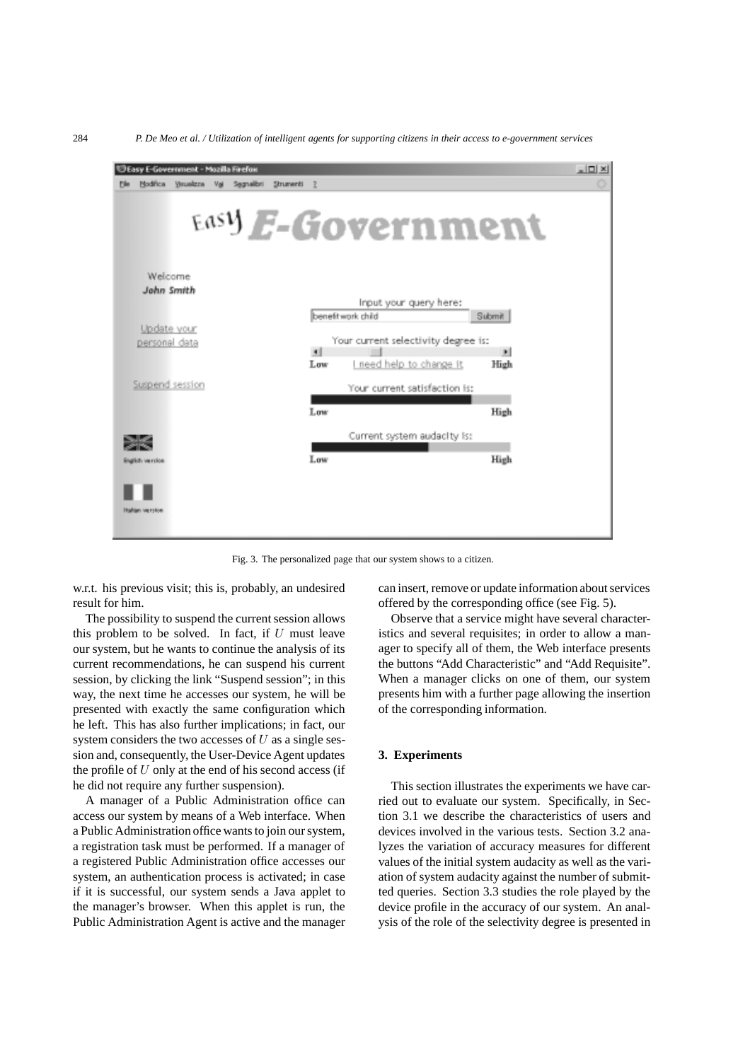| Easy E-Government - Mozilla Firefox                |                                         |  |  |
|----------------------------------------------------|-----------------------------------------|--|--|
| Nodrica<br>Visualizza<br>Vai<br>Segnalibri<br>File | Strumenti<br>z                          |  |  |
|                                                    | Eas <b>y <i>E-G</i>overnment</b>        |  |  |
| Welcome                                            |                                         |  |  |
| John Smith                                         |                                         |  |  |
|                                                    | Input your query here:                  |  |  |
|                                                    | benefit work child<br>Submit            |  |  |
| Update your<br>personal data                       | Your current selectivity degree is:     |  |  |
|                                                    | H.<br>×                                 |  |  |
|                                                    | I need help to change it<br>Low<br>High |  |  |
| Suspend session                                    | Your current satisfaction is:           |  |  |
|                                                    | Low<br>High                             |  |  |
|                                                    | Current system audacity is:             |  |  |
| <b>Brighth version</b>                             | Low<br>High                             |  |  |
|                                                    |                                         |  |  |
| Hahan verston                                      |                                         |  |  |
|                                                    |                                         |  |  |

Fig. 3. The personalized page that our system shows to a citizen.

w.r.t. his previous visit; this is, probably, an undesired result for him.

The possibility to suspend the current session allows this problem to be solved. In fact, if  $U$  must leave our system, but he wants to continue the analysis of its current recommendations, he can suspend his current session, by clicking the link "Suspend session"; in this way, the next time he accesses our system, he will be presented with exactly the same configuration which he left. This has also further implications; in fact, our system considers the two accesses of  $U$  as a single session and, consequently, the User-Device Agent updates the profile of  $U$  only at the end of his second access (if he did not require any further suspension).

A manager of a Public Administration office can access our system by means of a Web interface. When a Public Administration office wants to join our system, a registration task must be performed. If a manager of a registered Public Administration office accesses our system, an authentication process is activated; in case if it is successful, our system sends a Java applet to the manager's browser. When this applet is run, the Public Administration Agent is active and the manager can insert, remove or update information about services offered by the corresponding office (see Fig. 5).

Observe that a service might have several characteristics and several requisites; in order to allow a manager to specify all of them, the Web interface presents the buttons "Add Characteristic" and "Add Requisite". When a manager clicks on one of them, our system presents him with a further page allowing the insertion of the corresponding information.

# **3. Experiments**

This section illustrates the experiments we have carried out to evaluate our system. Specifically, in Section 3.1 we describe the characteristics of users and devices involved in the various tests. Section 3.2 analyzes the variation of accuracy measures for different values of the initial system audacity as well as the variation of system audacity against the number of submitted queries. Section 3.3 studies the role played by the device profile in the accuracy of our system. An analysis of the role of the selectivity degree is presented in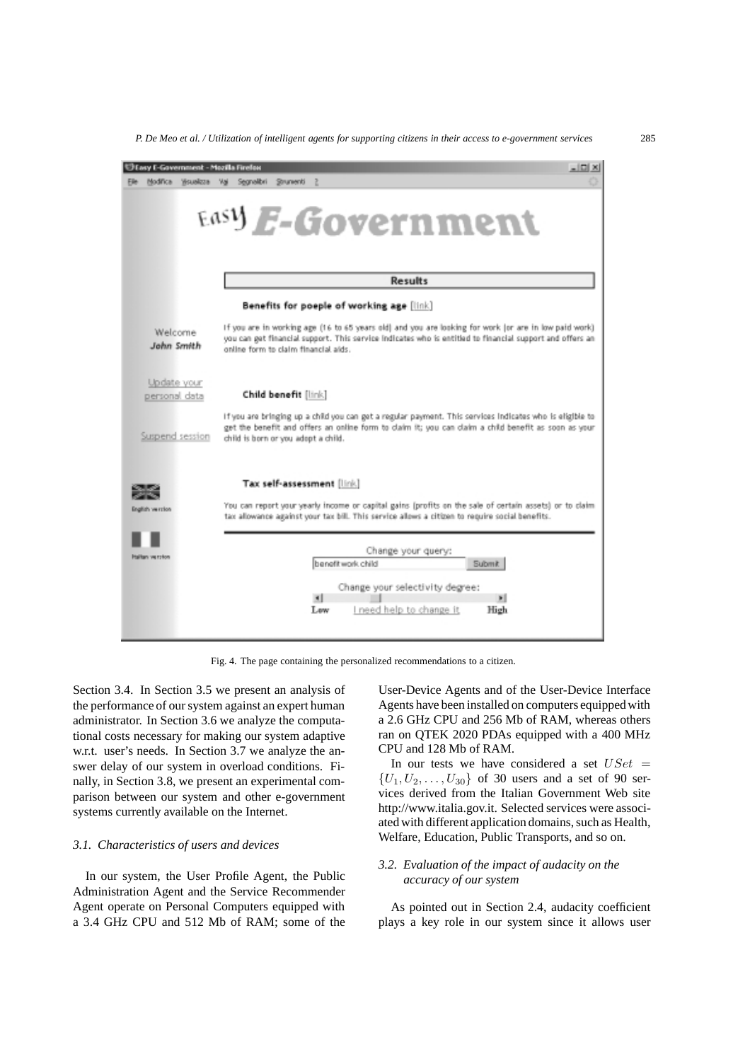*P. De Meo et al. / Utilization of intelligent agents for supporting citizens in their access to e-government services* 285



Fig. 4. The page containing the personalized recommendations to a citizen.

Section 3.4. In Section 3.5 we present an analysis of the performance of our system against an expert human administrator. In Section 3.6 we analyze the computational costs necessary for making our system adaptive w.r.t. user's needs. In Section 3.7 we analyze the answer delay of our system in overload conditions. Finally, in Section 3.8, we present an experimental comparison between our system and other e-government systems currently available on the Internet.

#### *3.1. Characteristics of users and devices*

In our system, the User Profile Agent, the Public Administration Agent and the Service Recommender Agent operate on Personal Computers equipped with a 3.4 GHz CPU and 512 Mb of RAM; some of the User-Device Agents and of the User-Device Interface Agents have been installed on computers equipped with a 2.6 GHz CPU and 256 Mb of RAM, whereas others ran on QTEK 2020 PDAs equipped with a 400 MHz CPU and 128 Mb of RAM.

In our tests we have considered a set  $USet =$  ${U_1, U_2,...,U_{30}}$  of 30 users and a set of 90 services derived from the Italian Government Web site http://www.italia.gov.it. Selected services were associated with different application domains, such as Health, Welfare, Education, Public Transports, and so on.

#### *3.2. Evaluation of the impact of audacity on the accuracy of our system*

As pointed out in Section 2.4, audacity coefficient plays a key role in our system since it allows user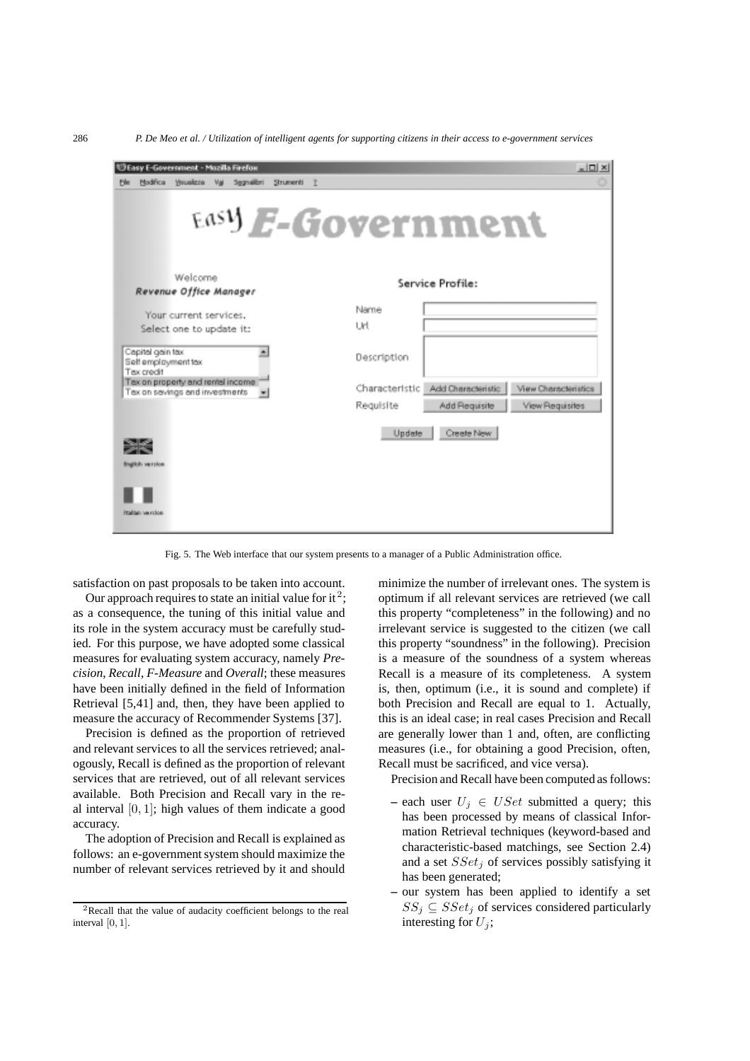286 *P. De Meo et al. / Utilization of intelligent agents for supporting citizens in their access to e-government services*

| Easy E-Government - Mozilla Firefox<br>Modrica<br>Visualizza<br>Val Segnalibri<br>Strumenti                 |                                                                  | $=$ $\vert \Box \vert \times$           |  |
|-------------------------------------------------------------------------------------------------------------|------------------------------------------------------------------|-----------------------------------------|--|
| $\mathbb{Z}$<br>File                                                                                        | Eas <b>y <i>E-Gove</i>rnment</b>                                 |                                         |  |
| Welcome<br>Service Profile:<br>Revenue Office Manager                                                       |                                                                  |                                         |  |
| Your current services.<br>Select one to update it:<br>Capital gain tax<br>Self employment tox<br>Tax credit | Name<br>UH<br>Description                                        |                                         |  |
| Tax on property and rental income<br>Tax on savings and investments<br>$\blacksquare$                       | Characteristic Add Characteristic<br>Regulisite<br>Add Requisite | View Characteristics<br>View Requisites |  |
| Bright-In we ryken                                                                                          | Create New<br>Update                                             |                                         |  |
| <b>Italian</b> version                                                                                      |                                                                  |                                         |  |

Fig. 5. The Web interface that our system presents to a manager of a Public Administration office.

satisfaction on past proposals to be taken into account.

Our approach requires to state an initial value for it<sup>2</sup>; as a consequence, the tuning of this initial value and its role in the system accuracy must be carefully studied. For this purpose, we have adopted some classical measures for evaluating system accuracy, namely *Precision*, *Recall*, *F-Measure* and *Overall*; these measures have been initially defined in the field of Information Retrieval [5,41] and, then, they have been applied to measure the accuracy of Recommender Systems [37].

Precision is defined as the proportion of retrieved and relevant services to all the services retrieved; analogously, Recall is defined as the proportion of relevant services that are retrieved, out of all relevant services available. Both Precision and Recall vary in the real interval  $[0, 1]$ ; high values of them indicate a good accuracy.

The adoption of Precision and Recall is explained as follows: an e-government system should maximize the number of relevant services retrieved by it and should

minimize the number of irrelevant ones. The system is optimum if all relevant services are retrieved (we call this property "completeness" in the following) and no irrelevant service is suggested to the citizen (we call this property "soundness" in the following). Precision is a measure of the soundness of a system whereas Recall is a measure of its completeness. A system is, then, optimum (i.e., it is sound and complete) if both Precision and Recall are equal to 1. Actually, this is an ideal case; in real cases Precision and Recall are generally lower than 1 and, often, are conflicting measures (i.e., for obtaining a good Precision, often, Recall must be sacrificed, and vice versa).

Precision and Recall have been computed as follows:

- each user  $U_j \in \textit{USet}$  submitted a query; this has been processed by means of classical Information Retrieval techniques (keyword-based and characteristic-based matchings, see Section 2.4) and a set SSet*<sup>j</sup>* of services possibly satisfying it has been generated;
- **–** our system has been applied to identify a set  $SS_j \subseteq SSet_j$  of services considered particularly interesting for  $U_i$ ;

<sup>2</sup>Recall that the value of audacity coefficient belongs to the real interval [0*,* 1].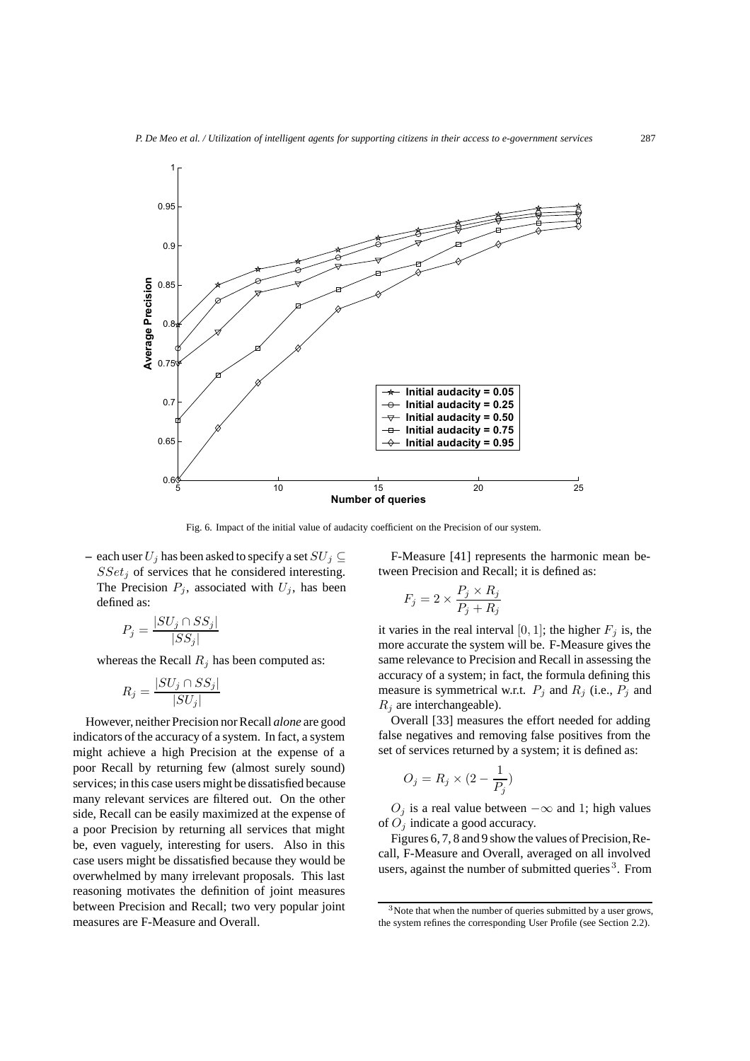

Fig. 6. Impact of the initial value of audacity coefficient on the Precision of our system.

**−** each user  $U_j$  has been asked to specify a set  $SU_j$  ⊆ SSet*<sup>j</sup>* of services that he considered interesting. The Precision  $P_i$ , associated with  $U_i$ , has been defined as:

$$
P_j = \frac{|SU_j \cap SS_j|}{|SS_j|}
$$

whereas the Recall  $R_i$  has been computed as:

$$
R_j = \frac{|SU_j \cap SS_j|}{|SU_j|}
$$

However, neither Precision nor Recall *alone* are good indicators of the accuracy of a system. In fact, a system might achieve a high Precision at the expense of a poor Recall by returning few (almost surely sound) services; in this case users might be dissatisfied because many relevant services are filtered out. On the other side, Recall can be easily maximized at the expense of a poor Precision by returning all services that might be, even vaguely, interesting for users. Also in this case users might be dissatisfied because they would be overwhelmed by many irrelevant proposals. This last reasoning motivates the definition of joint measures between Precision and Recall; two very popular joint measures are F-Measure and Overall.

F-Measure [41] represents the harmonic mean between Precision and Recall; it is defined as:

$$
F_j = 2 \times \frac{P_j \times R_j}{P_j + R_j}
$$

it varies in the real interval  $[0, 1]$ ; the higher  $F_j$  is, the more accurate the system will be. F-Measure gives the same relevance to Precision and Recall in assessing the accuracy of a system; in fact, the formula defining this measure is symmetrical w.r.t.  $P_j$  and  $R_j$  (i.e.,  $P_j$  and  $R_j$  are interchangeable).

Overall [33] measures the effort needed for adding false negatives and removing false positives from the set of services returned by a system; it is defined as:

$$
O_j = R_j \times (2 - \frac{1}{P_j})
$$

 $O_i$  is a real value between  $-\infty$  and 1; high values of O*<sup>j</sup>* indicate a good accuracy.

Figures 6, 7, 8 and 9 show the values of Precision, Recall, F-Measure and Overall, averaged on all involved users, against the number of submitted queries<sup>3</sup>. From

<sup>&</sup>lt;sup>3</sup>Note that when the number of queries submitted by a user grows, the system refines the corresponding User Profile (see Section 2.2).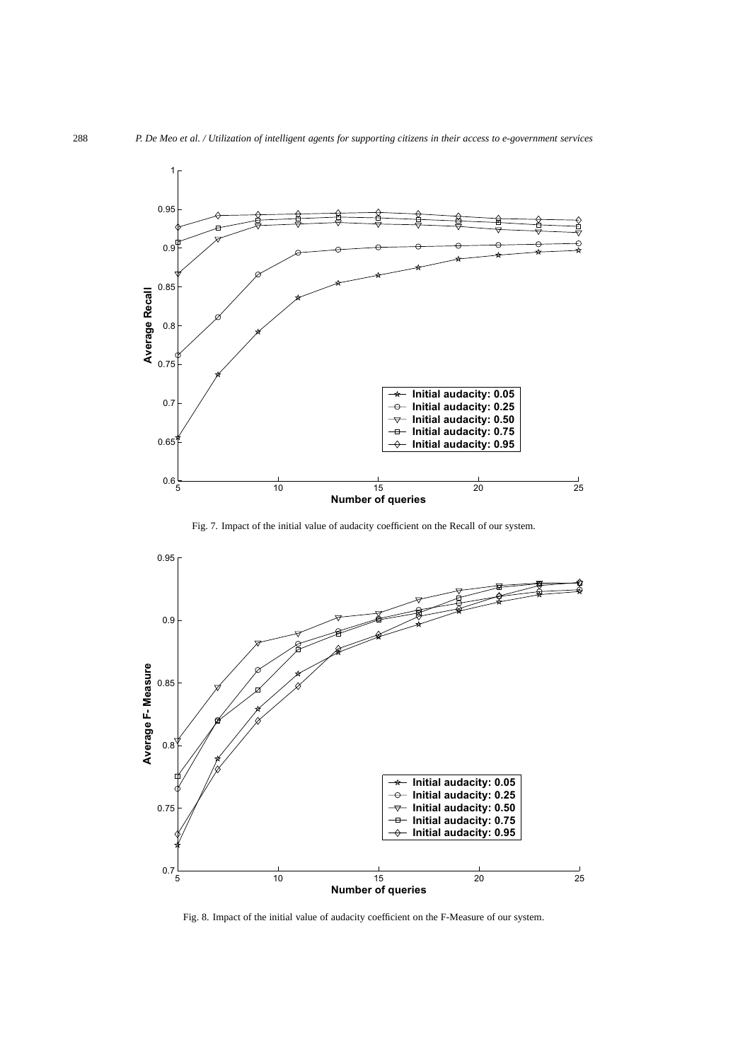

Fig. 7. Impact of the initial value of audacity coefficient on the Recall of our system.



Fig. 8. Impact of the initial value of audacity coefficient on the F-Measure of our system.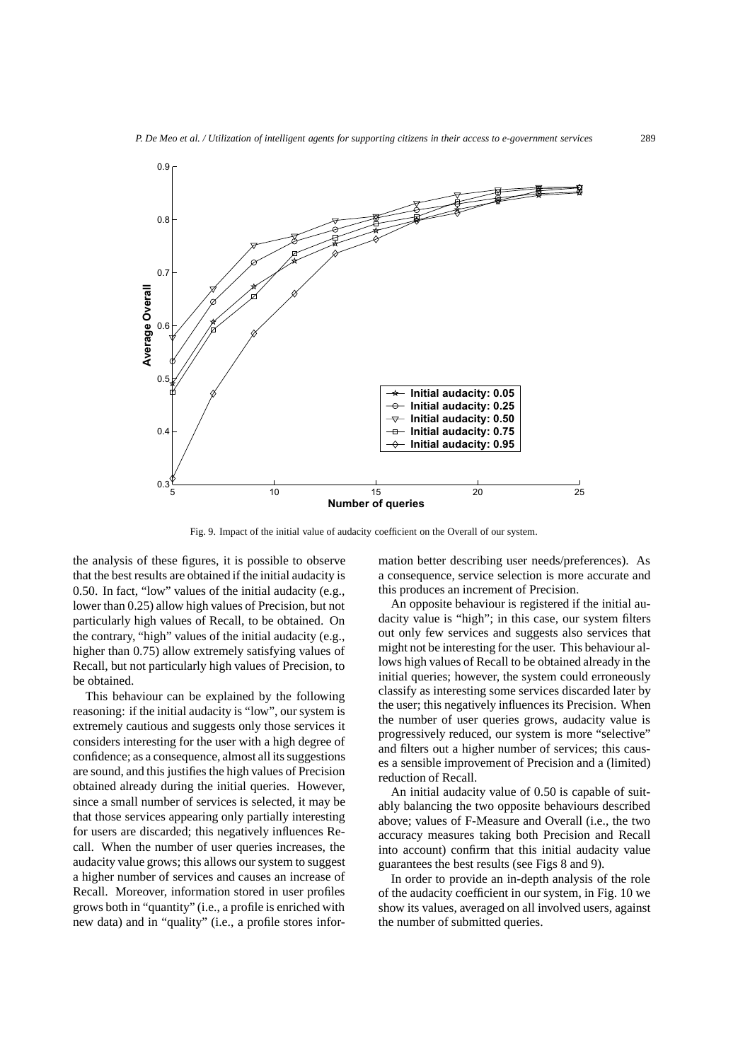

Fig. 9. Impact of the initial value of audacity coefficient on the Overall of our system.

the analysis of these figures, it is possible to observe that the best results are obtained if the initial audacity is 0.50. In fact, "low" values of the initial audacity (e.g., lower than 0.25) allow high values of Precision, but not particularly high values of Recall, to be obtained. On the contrary, "high" values of the initial audacity (e.g., higher than 0.75) allow extremely satisfying values of Recall, but not particularly high values of Precision, to be obtained.

This behaviour can be explained by the following reasoning: if the initial audacity is "low", our system is extremely cautious and suggests only those services it considers interesting for the user with a high degree of confidence; as a consequence, almost all its suggestions are sound, and this justifies the high values of Precision obtained already during the initial queries. However, since a small number of services is selected, it may be that those services appearing only partially interesting for users are discarded; this negatively influences Recall. When the number of user queries increases, the audacity value grows; this allows our system to suggest a higher number of services and causes an increase of Recall. Moreover, information stored in user profiles grows both in "quantity" (i.e., a profile is enriched with new data) and in "quality" (i.e., a profile stores information better describing user needs/preferences). As a consequence, service selection is more accurate and this produces an increment of Precision.

An opposite behaviour is registered if the initial audacity value is "high"; in this case, our system filters out only few services and suggests also services that might not be interesting for the user. This behaviour allows high values of Recall to be obtained already in the initial queries; however, the system could erroneously classify as interesting some services discarded later by the user; this negatively influences its Precision. When the number of user queries grows, audacity value is progressively reduced, our system is more "selective" and filters out a higher number of services; this causes a sensible improvement of Precision and a (limited) reduction of Recall.

An initial audacity value of 0.50 is capable of suitably balancing the two opposite behaviours described above; values of F-Measure and Overall (i.e., the two accuracy measures taking both Precision and Recall into account) confirm that this initial audacity value guarantees the best results (see Figs 8 and 9).

In order to provide an in-depth analysis of the role of the audacity coefficient in our system, in Fig. 10 we show its values, averaged on all involved users, against the number of submitted queries.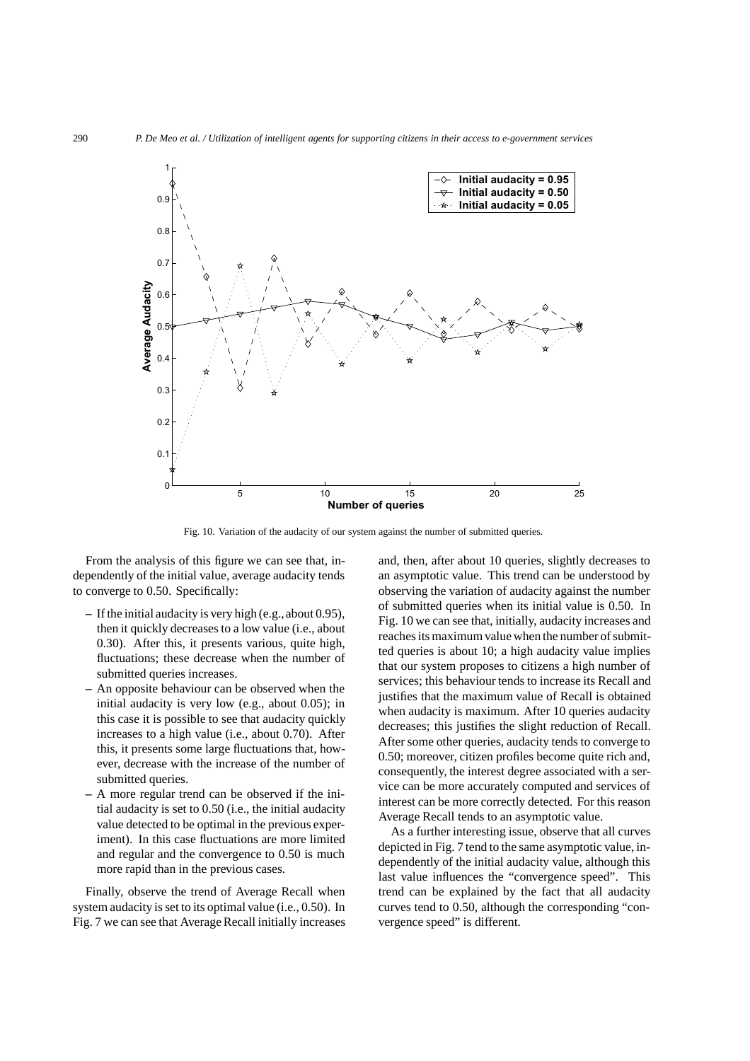

Fig. 10. Variation of the audacity of our system against the number of submitted queries.

From the analysis of this figure we can see that, independently of the initial value, average audacity tends to converge to 0.50. Specifically:

- **–** If the initial audacity is very high (e.g.,about 0.95), then it quickly decreases to a low value (i.e., about 0.30). After this, it presents various, quite high, fluctuations; these decrease when the number of submitted queries increases.
- **–** An opposite behaviour can be observed when the initial audacity is very low (e.g., about 0.05); in this case it is possible to see that audacity quickly increases to a high value (i.e., about 0.70). After this, it presents some large fluctuations that, however, decrease with the increase of the number of submitted queries.
- **–** A more regular trend can be observed if the initial audacity is set to 0.50 (i.e., the initial audacity value detected to be optimal in the previous experiment). In this case fluctuations are more limited and regular and the convergence to 0.50 is much more rapid than in the previous cases.

Finally, observe the trend of Average Recall when system audacity is set to its optimal value (i.e., 0.50). In Fig. 7 we can see that Average Recall initially increases and, then, after about 10 queries, slightly decreases to an asymptotic value. This trend can be understood by observing the variation of audacity against the number of submitted queries when its initial value is 0.50. In Fig. 10 we can see that, initially, audacity increases and reaches its maximum value when the number of submitted queries is about 10; a high audacity value implies that our system proposes to citizens a high number of services; this behaviour tends to increase its Recall and justifies that the maximum value of Recall is obtained when audacity is maximum. After 10 queries audacity decreases; this justifies the slight reduction of Recall. After some other queries, audacity tends to converge to 0.50; moreover, citizen profiles become quite rich and, consequently, the interest degree associated with a service can be more accurately computed and services of interest can be more correctly detected. For this reason Average Recall tends to an asymptotic value.

As a further interesting issue, observe that all curves depicted in Fig. 7 tend to the same asymptotic value, independently of the initial audacity value, although this last value influences the "convergence speed". This trend can be explained by the fact that all audacity curves tend to 0.50, although the corresponding "convergence speed" is different.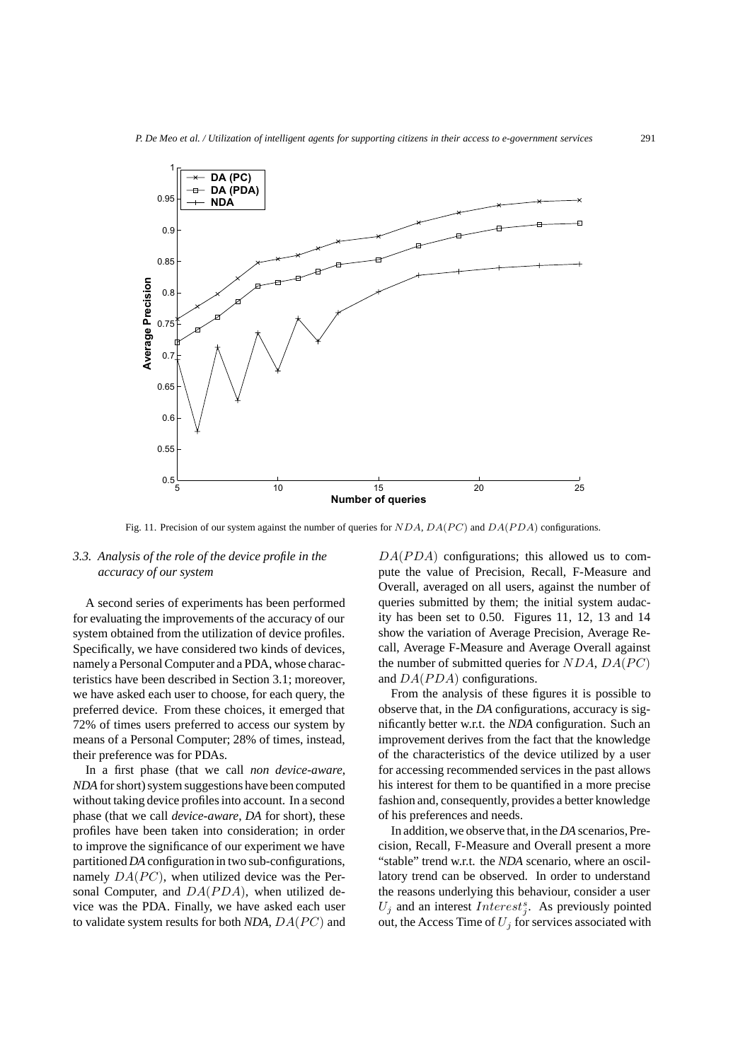

Fig. 11. Precision of our system against the number of queries for *NDA*, *DA*(*P C*) and *DA*(*PDA*) configurations.

# *3.3. Analysis of the role of the device profile in the accuracy of our system*

A second series of experiments has been performed for evaluating the improvements of the accuracy of our system obtained from the utilization of device profiles. Specifically, we have considered two kinds of devices, namely a Personal Computer and a PDA, whose characteristics have been described in Section 3.1; moreover, we have asked each user to choose, for each query, the preferred device. From these choices, it emerged that 72% of times users preferred to access our system by means of a Personal Computer; 28% of times, instead, their preference was for PDAs.

In a first phase (that we call *non device-aware*, *NDA* for short) system suggestions have been computed without taking device profiles into account. In a second phase (that we call *device-aware*, *DA* for short), these profiles have been taken into consideration; in order to improve the significance of our experiment we have partitioned *DA* configuration in two sub-configurations, namely  $DA(PC)$ , when utilized device was the Personal Computer, and  $DA(PDA)$ , when utilized device was the PDA. Finally, we have asked each user to validate system results for both  $NDA$ ,  $DA(PC)$  and  $DA(PDA)$  configurations; this allowed us to compute the value of Precision, Recall, F-Measure and Overall, averaged on all users, against the number of queries submitted by them; the initial system audacity has been set to 0.50. Figures 11, 12, 13 and 14 show the variation of Average Precision, Average Recall, Average F-Measure and Average Overall against the number of submitted queries for  $NDA$ ,  $DA(PC)$ and DA(PDA) configurations.

From the analysis of these figures it is possible to observe that, in the *DA* configurations, accuracy is significantly better w.r.t. the *NDA* configuration. Such an improvement derives from the fact that the knowledge of the characteristics of the device utilized by a user for accessing recommended services in the past allows his interest for them to be quantified in a more precise fashion and, consequently, provides a better knowledge of his preferences and needs.

In addition, we observe that, in the *DA* scenarios, Precision, Recall, F-Measure and Overall present a more "stable" trend w.r.t. the *NDA* scenario, where an oscillatory trend can be observed. In order to understand the reasons underlying this behaviour, consider a user  $U_j$  and an interest *Interest<sup>s</sup>*. As previously pointed out, the Access Time of  $U_j$  for services associated with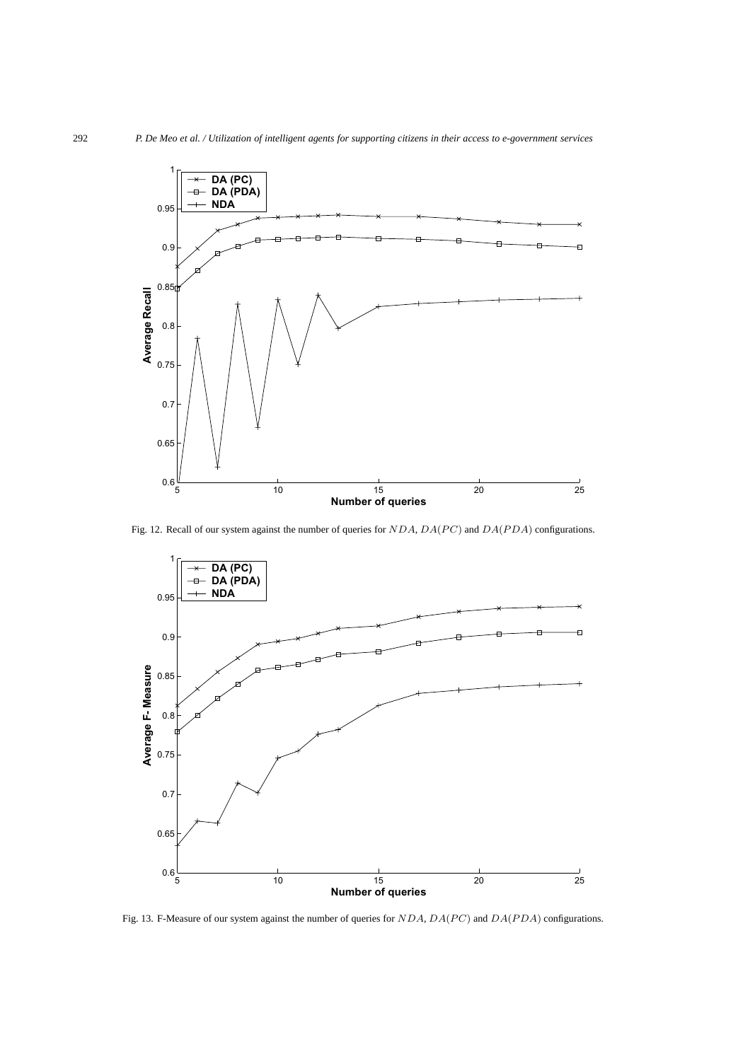

Fig. 12. Recall of our system against the number of queries for *NDA*, *DA*(*P C*) and *DA*(*PDA*) configurations.



Fig. 13. F-Measure of our system against the number of queries for *NDA*, *DA*(*P C*) and *DA*(*PDA*) configurations.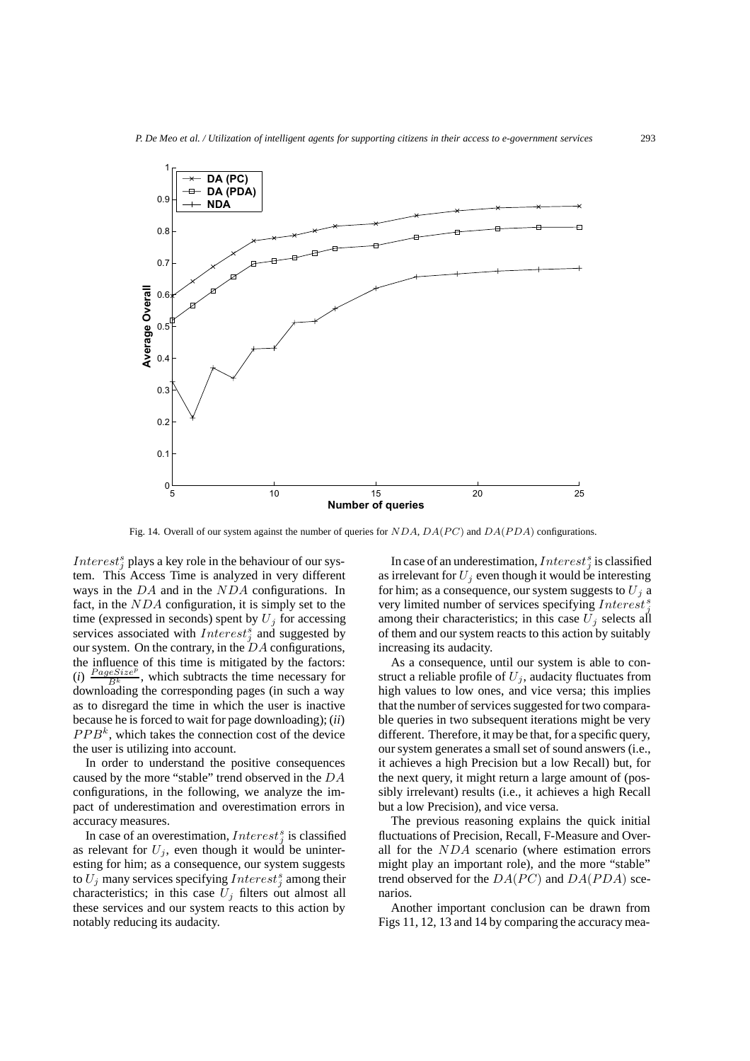

Fig. 14. Overall of our system against the number of queries for *NDA*, *DA*(*P C*) and *DA*(*PDA*) configurations.

 $Interest<sub>j</sub><sup>s</sup>$  plays a key role in the behaviour of our system. This Access Time is analyzed in very different ways in the DA and in the NDA configurations. In fact, in the  $NDA$  configuration, it is simply set to the time (expressed in seconds) spent by  $U_j$  for accessing services associated with  $Interest_j^s$  and suggested by our system. On the contrary, in the  $\overline{D}A$  configurations, the influence of this time is mitigated by the factors:  $(i)$   $\frac{PageSize^p}{B^k}$ , which subtracts the time necessary for downloading the corresponding pages (in such a way as to disregard the time in which the user is inactive because he is forced to wait for page downloading); (*ii*)  $PPB<sup>k</sup>$ , which takes the connection cost of the device the user is utilizing into account.

In order to understand the positive consequences caused by the more "stable" trend observed in the DA configurations, in the following, we analyze the impact of underestimation and overestimation errors in accuracy measures.

In case of an overestimation, Interest*<sup>s</sup> <sup>j</sup>* is classified as relevant for  $U_j$ , even though it would be uninteresting for him; as a consequence, our system suggests to U*<sup>j</sup>* many services specifying Interest*<sup>s</sup> <sup>j</sup>* among their characteristics; in this case  $U_j$  filters out almost all these services and our system reacts to this action by notably reducing its audacity.

In case of an underestimation, Interest*<sup>s</sup> <sup>j</sup>* is classified as irrelevant for  $U_j$  even though it would be interesting for him; as a consequence, our system suggests to  $U_i$  a very limited number of services specifying Interest<sup>s</sup> among their characteristics; in this case  $U_j$  selects all of them and our system reacts to this action by suitably increasing its audacity.

As a consequence, until our system is able to construct a reliable profile of  $U_j$ , audacity fluctuates from high values to low ones, and vice versa; this implies that the number of services suggested for two comparable queries in two subsequent iterations might be very different. Therefore, it may be that, for a specific query, our system generates a small set of sound answers (i.e., it achieves a high Precision but a low Recall) but, for the next query, it might return a large amount of (possibly irrelevant) results (i.e., it achieves a high Recall but a low Precision), and vice versa.

The previous reasoning explains the quick initial fluctuations of Precision, Recall, F-Measure and Overall for the NDA scenario (where estimation errors might play an important role), and the more "stable" trend observed for the  $DA(PC)$  and  $DA(PDA)$  scenarios.

Another important conclusion can be drawn from Figs 11, 12, 13 and 14 by comparing the accuracy mea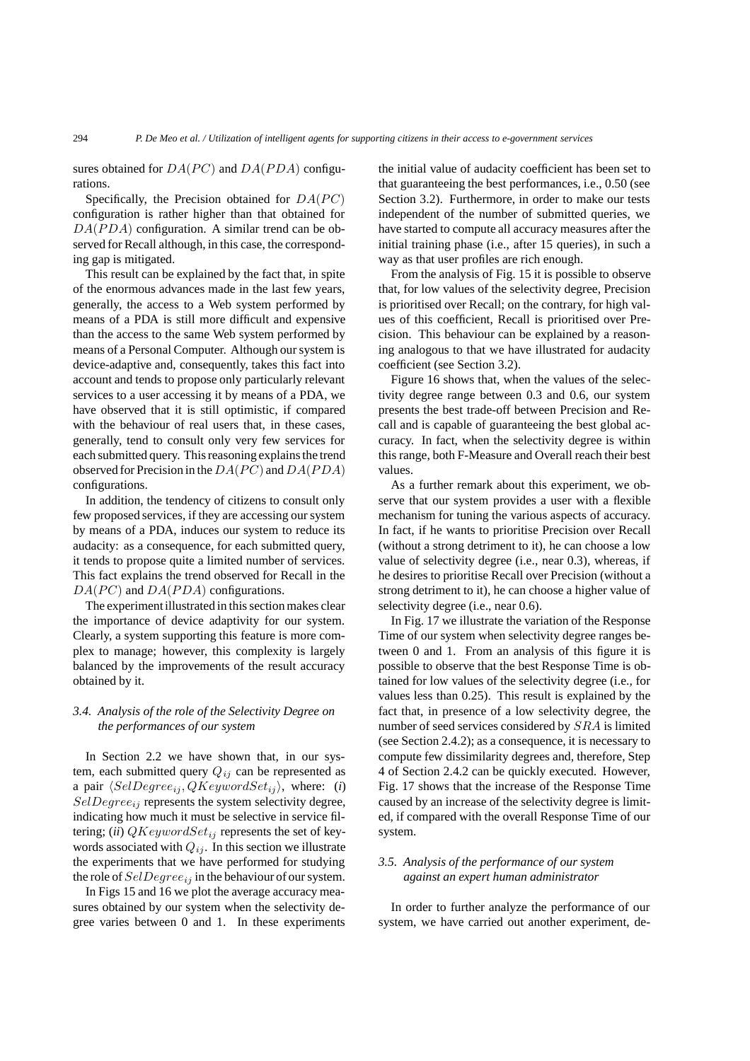sures obtained for  $DA(PC)$  and  $DA(PDA)$  configurations.

Specifically, the Precision obtained for  $DA(PC)$ configuration is rather higher than that obtained for  $DA(PDA)$  configuration. A similar trend can be observed for Recall although, in this case, the corresponding gap is mitigated.

This result can be explained by the fact that, in spite of the enormous advances made in the last few years, generally, the access to a Web system performed by means of a PDA is still more difficult and expensive than the access to the same Web system performed by means of a Personal Computer. Although our system is device-adaptive and, consequently, takes this fact into account and tends to propose only particularly relevant services to a user accessing it by means of a PDA, we have observed that it is still optimistic, if compared with the behaviour of real users that, in these cases, generally, tend to consult only very few services for each submitted query. This reasoning explains the trend observed for Precision in the  $DA(PC)$  and  $DA(PDA)$ configurations.

In addition, the tendency of citizens to consult only few proposed services, if they are accessing our system by means of a PDA, induces our system to reduce its audacity: as a consequence, for each submitted query, it tends to propose quite a limited number of services. This fact explains the trend observed for Recall in the  $DA(PC)$  and  $DA(PDA)$  configurations.

The experiment illustrated in this section makes clear the importance of device adaptivity for our system. Clearly, a system supporting this feature is more complex to manage; however, this complexity is largely balanced by the improvements of the result accuracy obtained by it.

# *3.4. Analysis of the role of the Selectivity Degree on the performances of our system*

In Section 2.2 we have shown that, in our system, each submitted query Q*ij* can be represented as a pair  $\langle SelDegree_{ij}, QKeywordSet_{ij} \rangle$ , where: (*i*) SelDegree*ij* represents the system selectivity degree, indicating how much it must be selective in service filtering; (*ii*) QKeywordSet*ij* represents the set of keywords associated with  $Q_{ij}$ . In this section we illustrate the experiments that we have performed for studying the role of SelDegree*ij* in the behaviour of our system.

In Figs 15 and 16 we plot the average accuracy measures obtained by our system when the selectivity degree varies between 0 and 1. In these experiments the initial value of audacity coefficient has been set to that guaranteeing the best performances, i.e., 0.50 (see Section 3.2). Furthermore, in order to make our tests independent of the number of submitted queries, we have started to compute all accuracy measures after the initial training phase (i.e., after 15 queries), in such a way as that user profiles are rich enough.

From the analysis of Fig. 15 it is possible to observe that, for low values of the selectivity degree, Precision is prioritised over Recall; on the contrary, for high values of this coefficient, Recall is prioritised over Precision. This behaviour can be explained by a reasoning analogous to that we have illustrated for audacity coefficient (see Section 3.2).

Figure 16 shows that, when the values of the selectivity degree range between 0.3 and 0.6, our system presents the best trade-off between Precision and Recall and is capable of guaranteeing the best global accuracy. In fact, when the selectivity degree is within this range, both F-Measure and Overall reach their best values.

As a further remark about this experiment, we observe that our system provides a user with a flexible mechanism for tuning the various aspects of accuracy. In fact, if he wants to prioritise Precision over Recall (without a strong detriment to it), he can choose a low value of selectivity degree (i.e., near 0.3), whereas, if he desires to prioritise Recall over Precision (without a strong detriment to it), he can choose a higher value of selectivity degree (i.e., near 0.6).

In Fig. 17 we illustrate the variation of the Response Time of our system when selectivity degree ranges between 0 and 1. From an analysis of this figure it is possible to observe that the best Response Time is obtained for low values of the selectivity degree (i.e., for values less than 0.25). This result is explained by the fact that, in presence of a low selectivity degree, the number of seed services considered by SRA is limited (see Section 2.4.2); as a consequence, it is necessary to compute few dissimilarity degrees and, therefore, Step 4 of Section 2.4.2 can be quickly executed. However, Fig. 17 shows that the increase of the Response Time caused by an increase of the selectivity degree is limited, if compared with the overall Response Time of our system.

# *3.5. Analysis of the performance of our system against an expert human administrator*

In order to further analyze the performance of our system, we have carried out another experiment, de-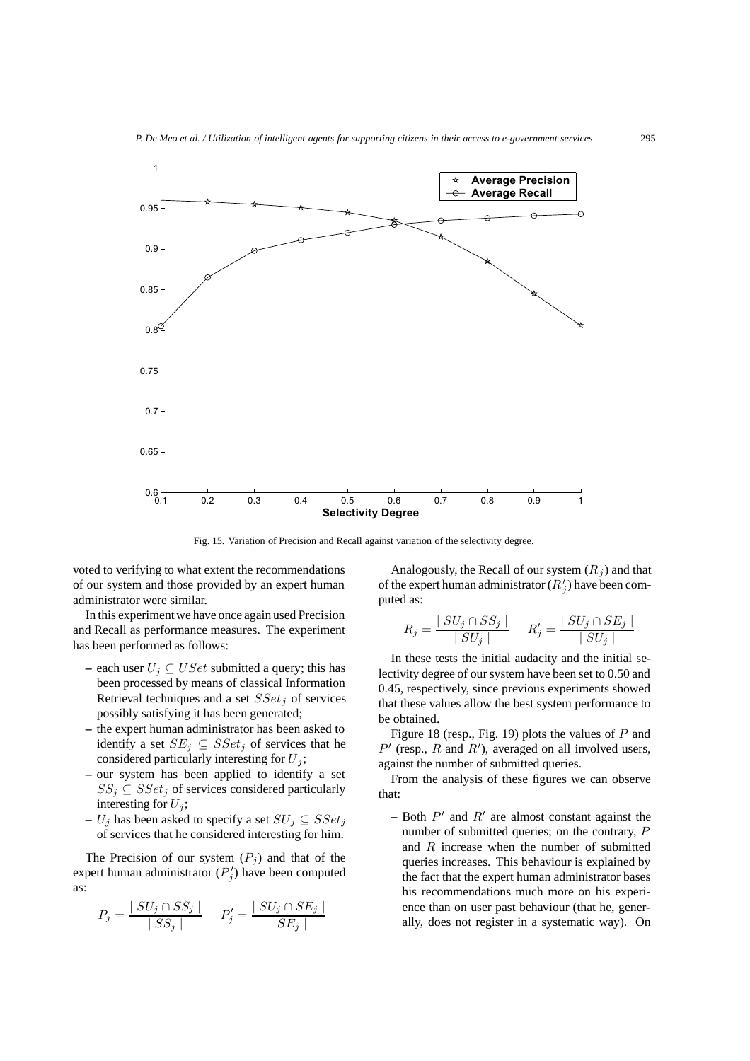

Fig. 15. Variation of Precision and Recall against variation of the selectivity degree.

voted to verifying to what extent the recommendations of our system and those provided by an expert human administrator were similar.

In this experiment we have once again used Precision and Recall as performance measures. The experiment has been performed as follows:

- each user  $U_j$  ⊆ *USet* submitted a query; this has been processed by means of classical Information Retrieval techniques and a set SSet*<sup>j</sup>* of services possibly satisfying it has been generated;
- **–** the expert human administrator has been asked to identify a set  $SE_j \subseteq SSet_j$  of services that he considered particularly interesting for  $U_j$ ;
- **–** our system has been applied to identify a set  $SS_j \subseteq SSet_j$  of services considered particularly interesting for  $U_j$ ;
- **–** U*<sup>j</sup>* has been asked to specify a set SU*<sup>j</sup>* ⊆ SSet*<sup>j</sup>* of services that he considered interesting for him.

The Precision of our system  $(P_i)$  and that of the expert human administrator  $(P'_j)$  have been computed as:

$$
P_j = \frac{|SU_j \cap SS_j|}{|SS_j|} \qquad P'_j = \frac{|SU_j \cap SE_j|}{|SE_j|}
$$

Analogously, the Recall of our system  $(R_i)$  and that of the expert human administrator  $(R'_j)$  have been computed as:

$$
R_j = \frac{|SU_j \cap SS_j|}{|SU_j|} \qquad R'_j = \frac{|SU_j \cap SE_j|}{|SU_j|}
$$

In these tests the initial audacity and the initial selectivity degree of our system have been set to 0.50 and 0.45, respectively, since previous experiments showed that these values allow the best system performance to be obtained.

Figure 18 (resp., Fig. 19) plots the values of  $P$  and  $P'$  (resp., R and R'), averaged on all involved users, against the number of submitted queries.

From the analysis of these figures we can observe that:

 $-$  Both  $P'$  and  $R'$  are almost constant against the number of submitted queries; on the contrary, P and  $R$  increase when the number of submitted queries increases. This behaviour is explained by the fact that the expert human administrator bases his recommendations much more on his experience than on user past behaviour (that he, generally, does not register in a systematic way). On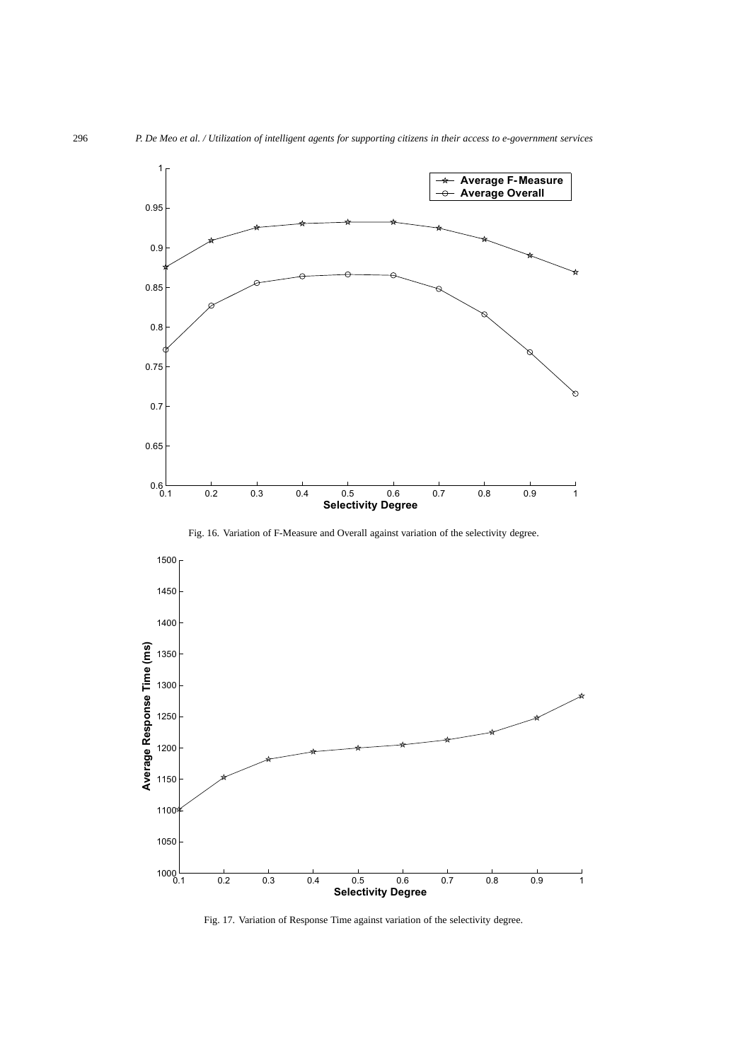

Fig. 16. Variation of F-Measure and Overall against variation of the selectivity degree.



Fig. 17. Variation of Response Time against variation of the selectivity degree.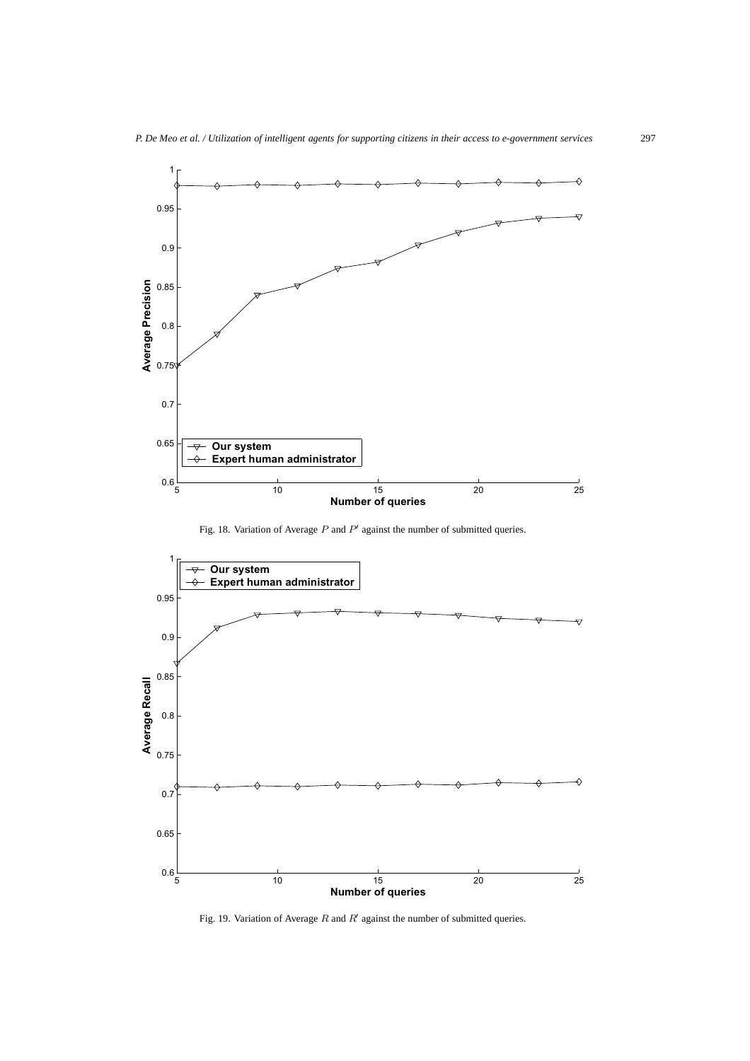

Fig. 18. Variation of Average  $P$  and  $P'$  against the number of submitted queries.



Fig. 19. Variation of Average  $R$  and  $R'$  against the number of submitted queries.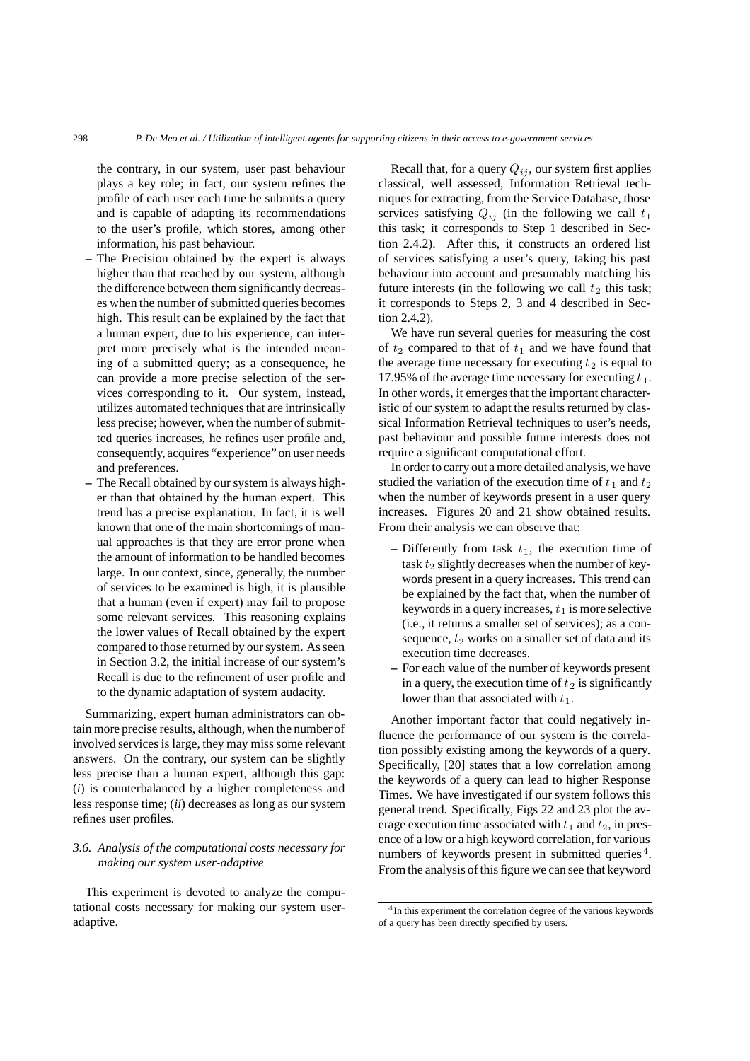the contrary, in our system, user past behaviour plays a key role; in fact, our system refines the profile of each user each time he submits a query and is capable of adapting its recommendations to the user's profile, which stores, among other information, his past behaviour.

- **–** The Precision obtained by the expert is always higher than that reached by our system, although the difference between them significantly decreases when the number of submitted queries becomes high. This result can be explained by the fact that a human expert, due to his experience, can interpret more precisely what is the intended meaning of a submitted query; as a consequence, he can provide a more precise selection of the services corresponding to it. Our system, instead, utilizes automated techniques that are intrinsically less precise; however, when the number of submitted queries increases, he refines user profile and, consequently, acquires "experience" on user needs and preferences.
- **–** The Recall obtained by our system is always higher than that obtained by the human expert. This trend has a precise explanation. In fact, it is well known that one of the main shortcomings of manual approaches is that they are error prone when the amount of information to be handled becomes large. In our context, since, generally, the number of services to be examined is high, it is plausible that a human (even if expert) may fail to propose some relevant services. This reasoning explains the lower values of Recall obtained by the expert compared to those returned by our system. As seen in Section 3.2, the initial increase of our system's Recall is due to the refinement of user profile and to the dynamic adaptation of system audacity.

Summarizing, expert human administrators can obtain more precise results, although, when the number of involved services is large, they may miss some relevant answers. On the contrary, our system can be slightly less precise than a human expert, although this gap: (*i*) is counterbalanced by a higher completeness and less response time; (*ii*) decreases as long as our system refines user profiles.

# *3.6. Analysis of the computational costs necessary for making our system user-adaptive*

This experiment is devoted to analyze the computational costs necessary for making our system useradaptive.

Recall that, for a query  $Q_{ij}$ , our system first applies classical, well assessed, Information Retrieval techniques for extracting, from the Service Database, those services satisfying  $Q_{ij}$  (in the following we call  $t_1$ ) this task; it corresponds to Step 1 described in Section 2.4.2). After this, it constructs an ordered list of services satisfying a user's query, taking his past behaviour into account and presumably matching his future interests (in the following we call  $t_2$  this task; it corresponds to Steps 2, 3 and 4 described in Section 2.4.2).

We have run several queries for measuring the cost of  $t_2$  compared to that of  $t_1$  and we have found that the average time necessary for executing  $t_2$  is equal to 17.95% of the average time necessary for executing  $t_1$ . In other words, it emerges that the important characteristic of our system to adapt the results returned by classical Information Retrieval techniques to user's needs, past behaviour and possible future interests does not require a significant computational effort.

In order to carry out a more detailed analysis, we have studied the variation of the execution time of  $t_1$  and  $t_2$ when the number of keywords present in a user query increases. Figures 20 and 21 show obtained results. From their analysis we can observe that:

- $-$  Differently from task  $t_1$ , the execution time of task  $t_2$  slightly decreases when the number of keywords present in a query increases. This trend can be explained by the fact that, when the number of keywords in a query increases,  $t_1$  is more selective (i.e., it returns a smaller set of services); as a consequence,  $t_2$  works on a smaller set of data and its execution time decreases.
- **–** For each value of the number of keywords present in a query, the execution time of  $t_2$  is significantly lower than that associated with  $t_1$ .

Another important factor that could negatively influence the performance of our system is the correlation possibly existing among the keywords of a query. Specifically, [20] states that a low correlation among the keywords of a query can lead to higher Response Times. We have investigated if our system follows this general trend. Specifically, Figs 22 and 23 plot the average execution time associated with  $t_1$  and  $t_2$ , in presence of a low or a high keyword correlation, for various numbers of keywords present in submitted queries  $4$ . From the analysis of this figure we can see that keyword

<sup>&</sup>lt;sup>4</sup>In this experiment the correlation degree of the various keywords of a query has been directly specified by users.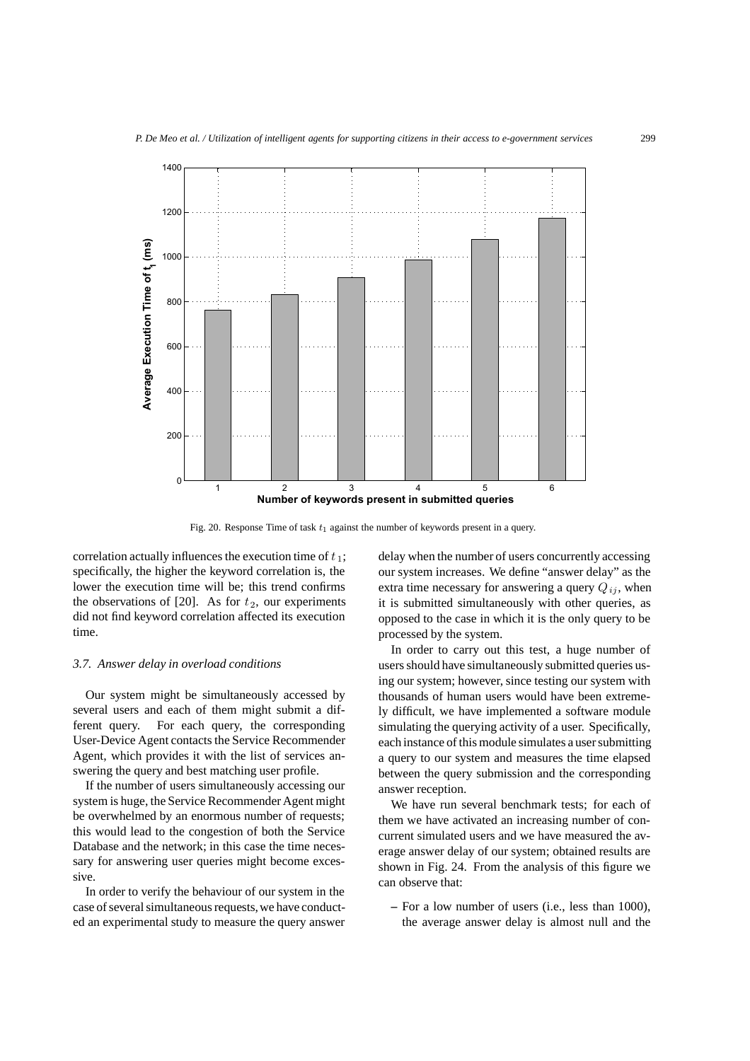

Fig. 20. Response Time of task  $t_1$  against the number of keywords present in a query.

correlation actually influences the execution time of  $t_1$ ; specifically, the higher the keyword correlation is, the lower the execution time will be; this trend confirms the observations of [20]. As for  $t_2$ , our experiments did not find keyword correlation affected its execution time.

#### *3.7. Answer delay in overload conditions*

Our system might be simultaneously accessed by several users and each of them might submit a different query. For each query, the corresponding User-Device Agent contacts the Service Recommender Agent, which provides it with the list of services answering the query and best matching user profile.

If the number of users simultaneously accessing our system is huge, the Service Recommender Agent might be overwhelmed by an enormous number of requests; this would lead to the congestion of both the Service Database and the network; in this case the time necessary for answering user queries might become excessive.

In order to verify the behaviour of our system in the case of several simultaneous requests,we have conducted an experimental study to measure the query answer delay when the number of users concurrently accessing our system increases. We define "answer delay" as the extra time necessary for answering a query  $Q_{ij}$ , when it is submitted simultaneously with other queries, as opposed to the case in which it is the only query to be processed by the system.

In order to carry out this test, a huge number of users should have simultaneously submitted queries using our system; however, since testing our system with thousands of human users would have been extremely difficult, we have implemented a software module simulating the querying activity of a user. Specifically, each instance of this module simulates a user submitting a query to our system and measures the time elapsed between the query submission and the corresponding answer reception.

We have run several benchmark tests; for each of them we have activated an increasing number of concurrent simulated users and we have measured the average answer delay of our system; obtained results are shown in Fig. 24. From the analysis of this figure we can observe that:

**–** For a low number of users (i.e., less than 1000), the average answer delay is almost null and the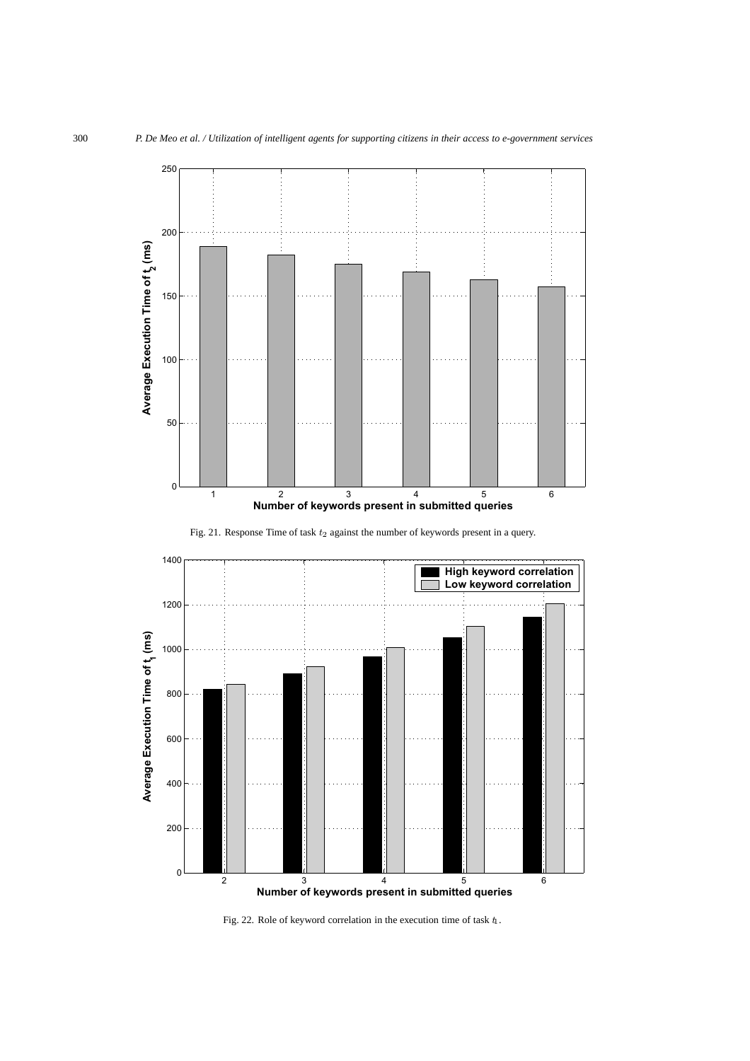



Fig. 22. Role of keyword correlation in the execution time of task *t*1.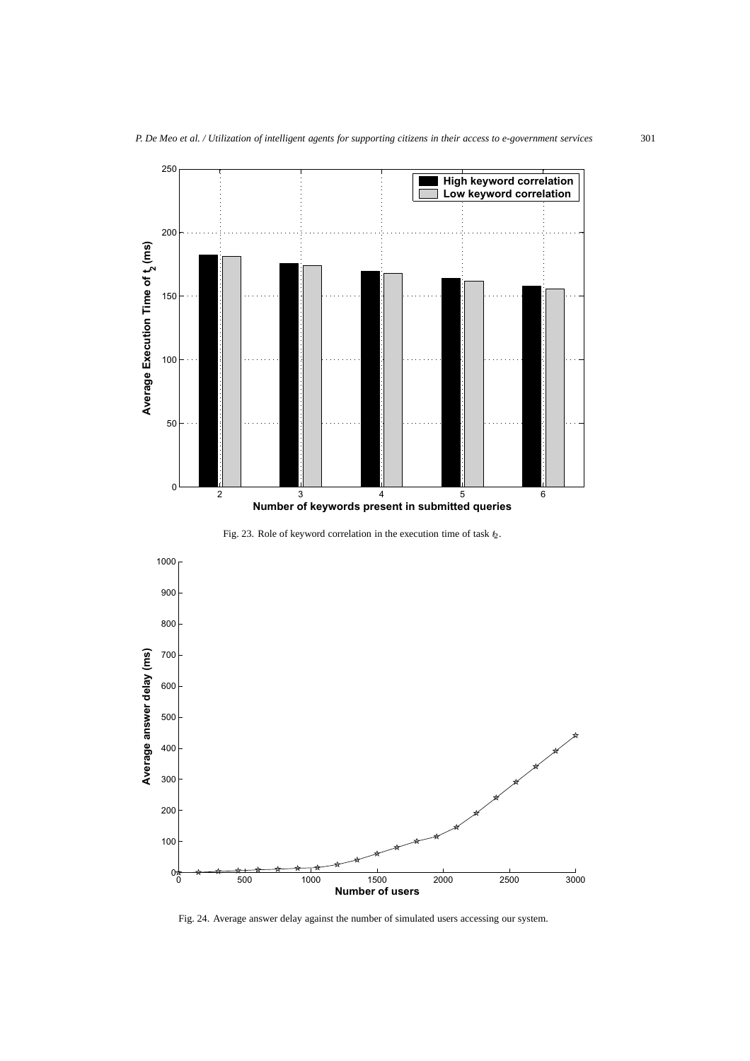

**Number of keywords present in submitted queries**





Fig. 24. Average answer delay against the number of simulated users accessing our system.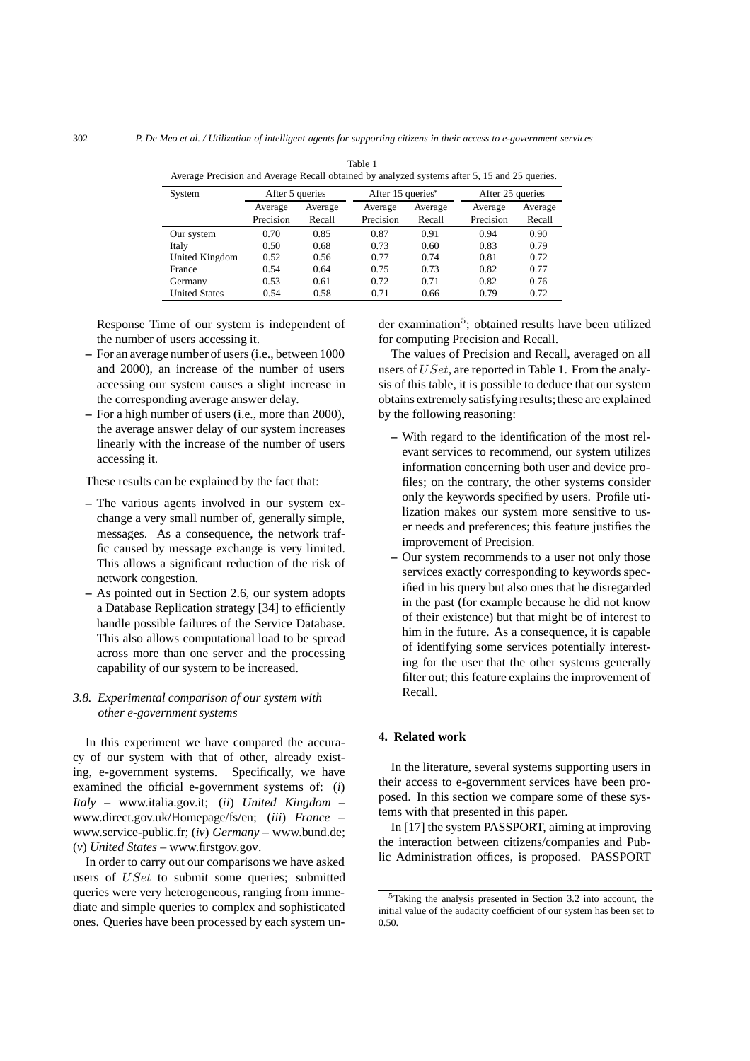| System               | After 5 queries      |                   | After 15 queries*    |                   | After 25 queries     |                   |  |  |  |
|----------------------|----------------------|-------------------|----------------------|-------------------|----------------------|-------------------|--|--|--|
|                      | Average<br>Precision | Average<br>Recall | Average<br>Precision | Average<br>Recall | Average<br>Precision | Average<br>Recall |  |  |  |
| Our system           | 0.70                 | 0.85              | 0.87                 | 0.91              | 0.94                 | 0.90              |  |  |  |
| Italy                | 0.50                 | 0.68              | 0.73                 | 0.60              | 0.83                 | 0.79              |  |  |  |
| United Kingdom       | 0.52                 | 0.56              | 0.77                 | 0.74              | 0.81                 | 0.72              |  |  |  |
| France               | 0.54                 | 0.64              | 0.75                 | 0.73              | 0.82                 | 0.77              |  |  |  |
| Germany              | 0.53                 | 0.61              | 0.72                 | 0.71              | 0.82                 | 0.76              |  |  |  |
| <b>United States</b> | 0.54                 | 0.58              | 0.71                 | 0.66              | 0.79                 | 0.72              |  |  |  |

Table 1 Average Precision and Average Recall obtained by analyzed systems after 5, 15 and 25 queries.

Response Time of our system is independent of the number of users accessing it.

- **–** For an average number of users (i.e., between 1000 and 2000), an increase of the number of users accessing our system causes a slight increase in the corresponding average answer delay.
- **–** For a high number of users (i.e., more than 2000), the average answer delay of our system increases linearly with the increase of the number of users accessing it.

These results can be explained by the fact that:

- **–** The various agents involved in our system exchange a very small number of, generally simple, messages. As a consequence, the network traffic caused by message exchange is very limited. This allows a significant reduction of the risk of network congestion.
- **–** As pointed out in Section 2.6, our system adopts a Database Replication strategy [34] to efficiently handle possible failures of the Service Database. This also allows computational load to be spread across more than one server and the processing capability of our system to be increased.

# *3.8. Experimental comparison of our system with other e-government systems*

In this experiment we have compared the accuracy of our system with that of other, already existing, e-government systems. Specifically, we have examined the official e-government systems of: (*i*) *Italy* – www.italia.gov.it; (*ii*) *United Kingdom* – www.direct.gov.uk/Homepage/fs/en; (*iii*) *France* – www.service-public.fr; (*iv*) *Germany* – www.bund.de; (*v*) *United States* – www.firstgov.gov.

In order to carry out our comparisons we have asked users of  $USet$  to submit some queries; submitted queries were very heterogeneous, ranging from immediate and simple queries to complex and sophisticated ones. Queries have been processed by each system under examination<sup>5</sup>; obtained results have been utilized for computing Precision and Recall.

The values of Precision and Recall, averaged on all users of USet, are reported in Table 1. From the analysis of this table, it is possible to deduce that our system obtains extremely satisfying results;these are explained by the following reasoning:

- **–** With regard to the identification of the most relevant services to recommend, our system utilizes information concerning both user and device profiles; on the contrary, the other systems consider only the keywords specified by users. Profile utilization makes our system more sensitive to user needs and preferences; this feature justifies the improvement of Precision.
- **–** Our system recommends to a user not only those services exactly corresponding to keywords specified in his query but also ones that he disregarded in the past (for example because he did not know of their existence) but that might be of interest to him in the future. As a consequence, it is capable of identifying some services potentially interesting for the user that the other systems generally filter out; this feature explains the improvement of Recall.

# **4. Related work**

In the literature, several systems supporting users in their access to e-government services have been proposed. In this section we compare some of these systems with that presented in this paper.

In [17] the system PASSPORT, aiming at improving the interaction between citizens/companies and Public Administration offices, is proposed. PASSPORT

<sup>5</sup>Taking the analysis presented in Section 3.2 into account, the initial value of the audacity coefficient of our system has been set to 0.50.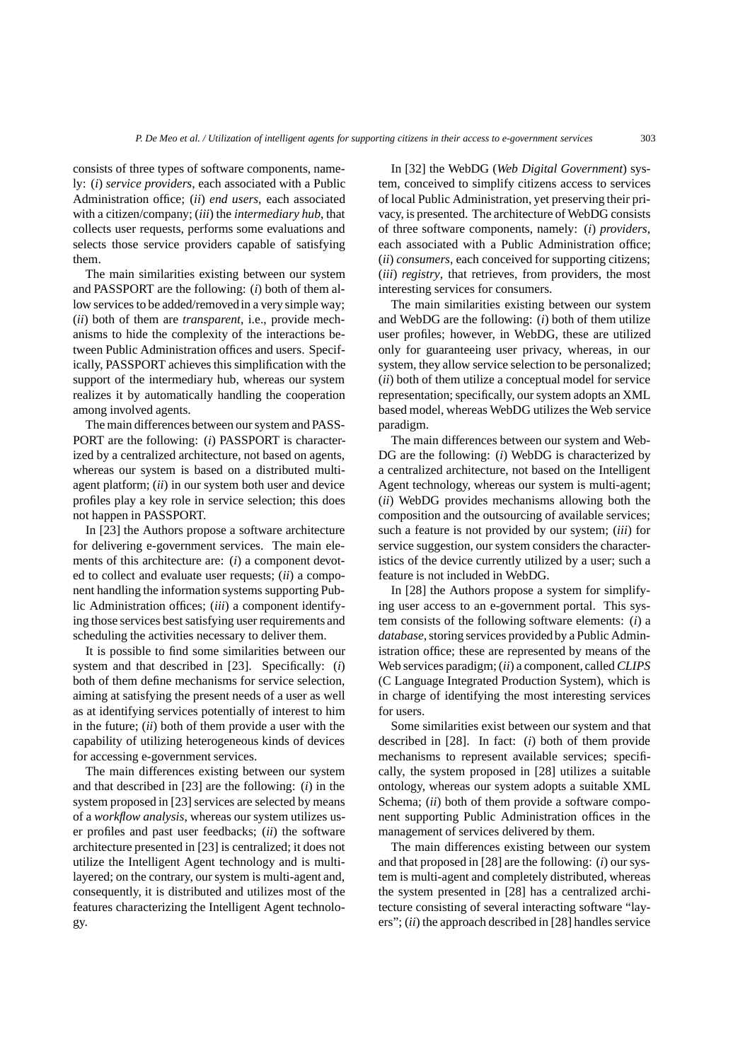consists of three types of software components, namely: (*i*) *service providers*, each associated with a Public Administration office; (*ii*) *end users*, each associated with a citizen/company; (*iii*) the *intermediary hub*, that collects user requests, performs some evaluations and selects those service providers capable of satisfying them.

The main similarities existing between our system and PASSPORT are the following: (*i*) both of them allow services to be added/removedin a very simple way; (*ii*) both of them are *transparent*, i.e., provide mechanisms to hide the complexity of the interactions between Public Administration offices and users. Specifically, PASSPORT achieves this simplification with the support of the intermediary hub, whereas our system realizes it by automatically handling the cooperation among involved agents.

The main differences between our system and PASS-PORT are the following: (*i*) PASSPORT is characterized by a centralized architecture, not based on agents, whereas our system is based on a distributed multiagent platform; (*ii*) in our system both user and device profiles play a key role in service selection; this does not happen in PASSPORT.

In [23] the Authors propose a software architecture for delivering e-government services. The main elements of this architecture are: (*i*) a component devoted to collect and evaluate user requests; (*ii*) a component handling the information systems supporting Public Administration offices; (*iii*) a component identifying those services best satisfying user requirements and scheduling the activities necessary to deliver them.

It is possible to find some similarities between our system and that described in [23]. Specifically: (*i*) both of them define mechanisms for service selection, aiming at satisfying the present needs of a user as well as at identifying services potentially of interest to him in the future; (*ii*) both of them provide a user with the capability of utilizing heterogeneous kinds of devices for accessing e-government services.

The main differences existing between our system and that described in [23] are the following: (*i*) in the system proposed in [23] services are selected by means of a *workflow analysis*, whereas our system utilizes user profiles and past user feedbacks; (*ii*) the software architecture presented in [23] is centralized; it does not utilize the Intelligent Agent technology and is multilayered; on the contrary, our system is multi-agent and, consequently, it is distributed and utilizes most of the features characterizing the Intelligent Agent technology.

In [32] the WebDG (*Web Digital Government*) system, conceived to simplify citizens access to services of local Public Administration, yet preserving their privacy, is presented. The architecture of WebDG consists of three software components, namely: (*i*) *providers*, each associated with a Public Administration office; (*ii*) *consumers*, each conceived for supporting citizens; (*iii*) *registry*, that retrieves, from providers, the most interesting services for consumers.

The main similarities existing between our system and WebDG are the following: (*i*) both of them utilize user profiles; however, in WebDG, these are utilized only for guaranteeing user privacy, whereas, in our system, they allow service selection to be personalized; (*ii*) both of them utilize a conceptual model for service representation; specifically, our system adopts an XML based model, whereas WebDG utilizes the Web service paradigm.

The main differences between our system and Web-DG are the following: (*i*) WebDG is characterized by a centralized architecture, not based on the Intelligent Agent technology, whereas our system is multi-agent; (*ii*) WebDG provides mechanisms allowing both the composition and the outsourcing of available services; such a feature is not provided by our system; (*iii*) for service suggestion, our system considers the characteristics of the device currently utilized by a user; such a feature is not included in WebDG.

In [28] the Authors propose a system for simplifying user access to an e-government portal. This system consists of the following software elements: (*i*) a *database*, storing services provided by a Public Administration office; these are represented by means of the Web services paradigm; (*ii*) a component, called *CLIPS* (C Language Integrated Production System), which is in charge of identifying the most interesting services for users.

Some similarities exist between our system and that described in [28]. In fact: (*i*) both of them provide mechanisms to represent available services; specifically, the system proposed in [28] utilizes a suitable ontology, whereas our system adopts a suitable XML Schema; *(ii)* both of them provide a software component supporting Public Administration offices in the management of services delivered by them.

The main differences existing between our system and that proposed in [28] are the following: (*i*) our system is multi-agent and completely distributed, whereas the system presented in [28] has a centralized architecture consisting of several interacting software "layers"; (*ii*) the approach described in [28] handles service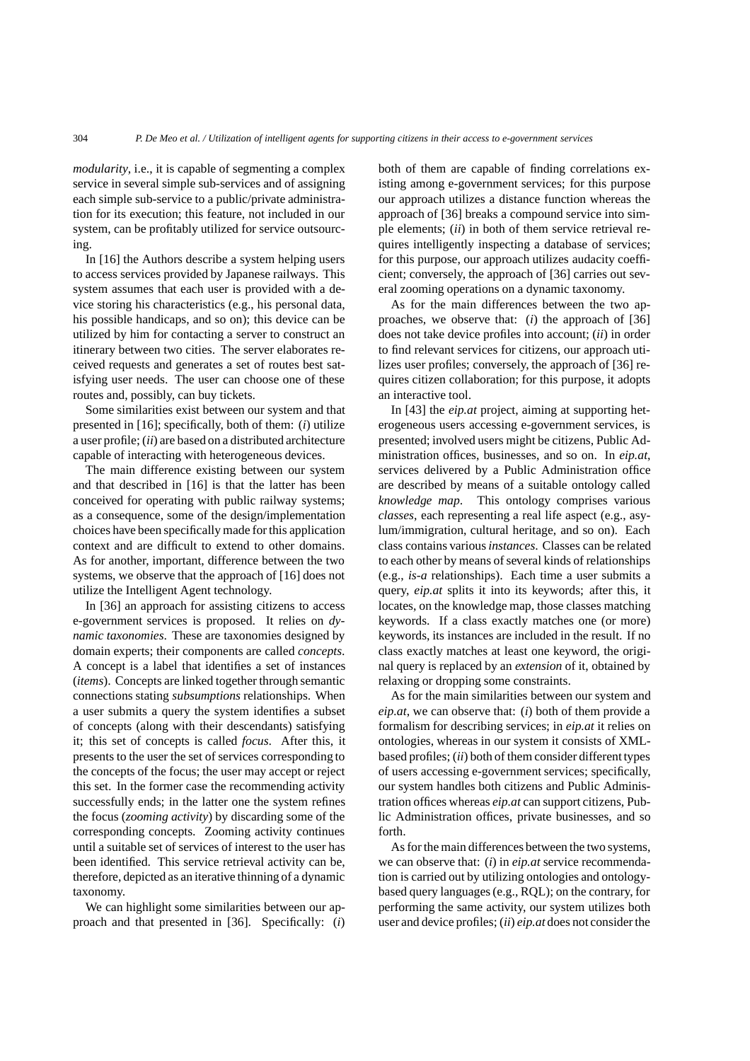*modularity*, i.e., it is capable of segmenting a complex service in several simple sub-services and of assigning each simple sub-service to a public/private administration for its execution; this feature, not included in our system, can be profitably utilized for service outsourcing.

In [16] the Authors describe a system helping users to access services provided by Japanese railways. This system assumes that each user is provided with a device storing his characteristics (e.g., his personal data, his possible handicaps, and so on); this device can be utilized by him for contacting a server to construct an itinerary between two cities. The server elaborates received requests and generates a set of routes best satisfying user needs. The user can choose one of these routes and, possibly, can buy tickets.

Some similarities exist between our system and that presented in [16]; specifically, both of them: (*i*) utilize a user profile; (*ii*) are based on a distributed architecture capable of interacting with heterogeneous devices.

The main difference existing between our system and that described in [16] is that the latter has been conceived for operating with public railway systems; as a consequence, some of the design/implementation choices have been specifically made for this application context and are difficult to extend to other domains. As for another, important, difference between the two systems, we observe that the approach of [16] does not utilize the Intelligent Agent technology.

In [36] an approach for assisting citizens to access e-government services is proposed. It relies on *dynamic taxonomies*. These are taxonomies designed by domain experts; their components are called *concepts*. A concept is a label that identifies a set of instances (*items*). Concepts are linked together through semantic connections stating *subsumptions* relationships. When a user submits a query the system identifies a subset of concepts (along with their descendants) satisfying it; this set of concepts is called *focus*. After this, it presents to the user the set of services corresponding to the concepts of the focus; the user may accept or reject this set. In the former case the recommending activity successfully ends; in the latter one the system refines the focus (*zooming activity*) by discarding some of the corresponding concepts. Zooming activity continues until a suitable set of services of interest to the user has been identified. This service retrieval activity can be, therefore, depicted as an iterative thinning of a dynamic taxonomy.

We can highlight some similarities between our approach and that presented in [36]. Specifically: (*i*) both of them are capable of finding correlations existing among e-government services; for this purpose our approach utilizes a distance function whereas the approach of [36] breaks a compound service into simple elements; (*ii*) in both of them service retrieval requires intelligently inspecting a database of services; for this purpose, our approach utilizes audacity coefficient; conversely, the approach of [36] carries out several zooming operations on a dynamic taxonomy.

As for the main differences between the two approaches, we observe that: (*i*) the approach of [36] does not take device profiles into account; (*ii*) in order to find relevant services for citizens, our approach utilizes user profiles; conversely, the approach of [36] requires citizen collaboration; for this purpose, it adopts an interactive tool.

In [43] the *eip.at* project, aiming at supporting heterogeneous users accessing e-government services, is presented; involved users might be citizens, Public Administration offices, businesses, and so on. In *eip.at*, services delivered by a Public Administration office are described by means of a suitable ontology called *knowledge map*. This ontology comprises various *classes*, each representing a real life aspect (e.g., asylum/immigration, cultural heritage, and so on). Each class contains various*instances*. Classes can be related to each other by means of several kinds of relationships (e.g., *is-a* relationships). Each time a user submits a query, *eip.at* splits it into its keywords; after this, it locates, on the knowledge map, those classes matching keywords. If a class exactly matches one (or more) keywords, its instances are included in the result. If no class exactly matches at least one keyword, the original query is replaced by an *extension* of it, obtained by relaxing or dropping some constraints.

As for the main similarities between our system and *eip.at*, we can observe that: (*i*) both of them provide a formalism for describing services; in *eip.at* it relies on ontologies, whereas in our system it consists of XMLbased profiles; (*ii*) both of them consider different types of users accessing e-government services; specifically, our system handles both citizens and Public Administration offices whereas *eip.at* can support citizens, Public Administration offices, private businesses, and so forth.

As for the main differences between the two systems, we can observe that: (*i*) in *eip.at* service recommendation is carried out by utilizing ontologies and ontologybased query languages (e.g., RQL); on the contrary, for performing the same activity, our system utilizes both user and device profiles; (*ii*) *eip.at* does not consider the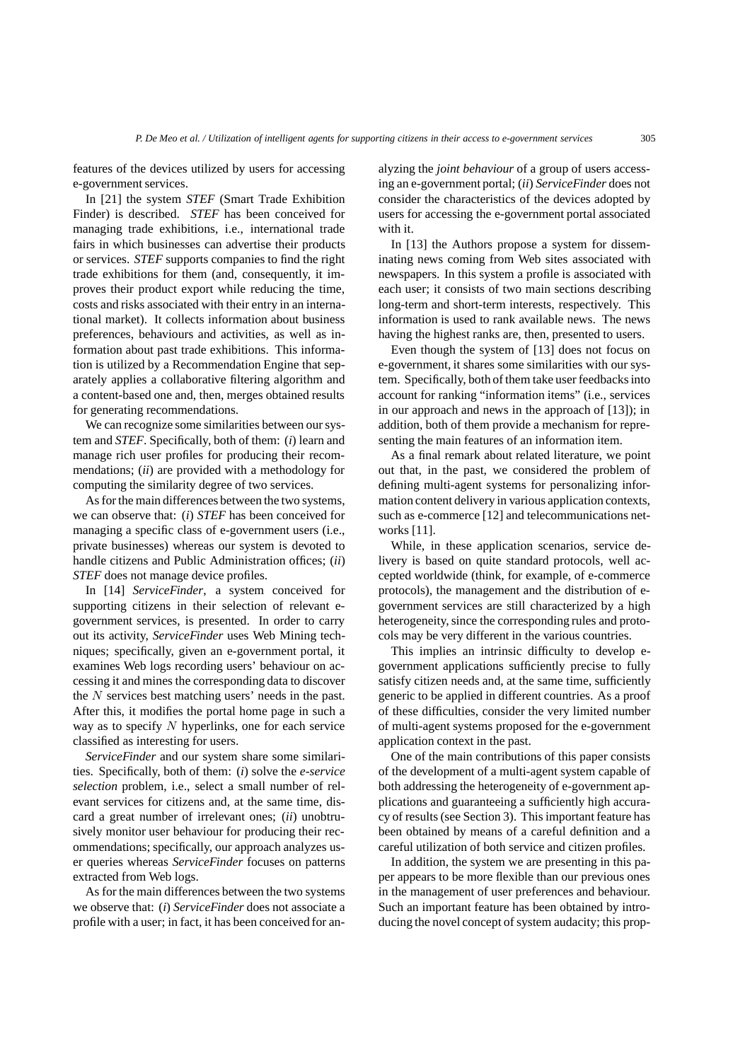features of the devices utilized by users for accessing e-government services.

In [21] the system *STEF* (Smart Trade Exhibition Finder) is described. *STEF* has been conceived for managing trade exhibitions, i.e., international trade fairs in which businesses can advertise their products or services. *STEF* supports companies to find the right trade exhibitions for them (and, consequently, it improves their product export while reducing the time, costs and risks associated with their entry in an international market). It collects information about business preferences, behaviours and activities, as well as information about past trade exhibitions. This information is utilized by a Recommendation Engine that separately applies a collaborative filtering algorithm and a content-based one and, then, merges obtained results for generating recommendations.

We can recognize some similarities between our system and *STEF*. Specifically, both of them: (*i*) learn and manage rich user profiles for producing their recommendations; (*ii*) are provided with a methodology for computing the similarity degree of two services.

As for the main differences between the two systems, we can observe that: (*i*) *STEF* has been conceived for managing a specific class of e-government users (i.e., private businesses) whereas our system is devoted to handle citizens and Public Administration offices; (*ii*) *STEF* does not manage device profiles.

In [14] *ServiceFinder*, a system conceived for supporting citizens in their selection of relevant egovernment services, is presented. In order to carry out its activity, *ServiceFinder* uses Web Mining techniques; specifically, given an e-government portal, it examines Web logs recording users' behaviour on accessing it and mines the corresponding data to discover the N services best matching users' needs in the past. After this, it modifies the portal home page in such a way as to specify  $N$  hyperlinks, one for each service classified as interesting for users.

*ServiceFinder* and our system share some similarities. Specifically, both of them: (*i*) solve the *e-service selection* problem, i.e., select a small number of relevant services for citizens and, at the same time, discard a great number of irrelevant ones; (*ii*) unobtrusively monitor user behaviour for producing their recommendations; specifically, our approach analyzes user queries whereas *ServiceFinder* focuses on patterns extracted from Web logs.

As for the main differences between the two systems we observe that: (*i*) *ServiceFinder* does not associate a profile with a user; in fact, it has been conceived for analyzing the *joint behaviour* of a group of users accessing an e-government portal; (*ii*) *ServiceFinder* does not consider the characteristics of the devices adopted by users for accessing the e-government portal associated with it.

In [13] the Authors propose a system for disseminating news coming from Web sites associated with newspapers. In this system a profile is associated with each user; it consists of two main sections describing long-term and short-term interests, respectively. This information is used to rank available news. The news having the highest ranks are, then, presented to users.

Even though the system of [13] does not focus on e-government, it shares some similarities with our system. Specifically, both of them take user feedbacks into account for ranking "information items" (i.e., services in our approach and news in the approach of [13]); in addition, both of them provide a mechanism for representing the main features of an information item.

As a final remark about related literature, we point out that, in the past, we considered the problem of defining multi-agent systems for personalizing information content delivery in various application contexts, such as e-commerce [12] and telecommunications networks [11].

While, in these application scenarios, service delivery is based on quite standard protocols, well accepted worldwide (think, for example, of e-commerce protocols), the management and the distribution of egovernment services are still characterized by a high heterogeneity, since the corresponding rules and protocols may be very different in the various countries.

This implies an intrinsic difficulty to develop egovernment applications sufficiently precise to fully satisfy citizen needs and, at the same time, sufficiently generic to be applied in different countries. As a proof of these difficulties, consider the very limited number of multi-agent systems proposed for the e-government application context in the past.

One of the main contributions of this paper consists of the development of a multi-agent system capable of both addressing the heterogeneity of e-government applications and guaranteeing a sufficiently high accuracy of results (see Section 3). This important feature has been obtained by means of a careful definition and a careful utilization of both service and citizen profiles.

In addition, the system we are presenting in this paper appears to be more flexible than our previous ones in the management of user preferences and behaviour. Such an important feature has been obtained by introducing the novel concept of system audacity; this prop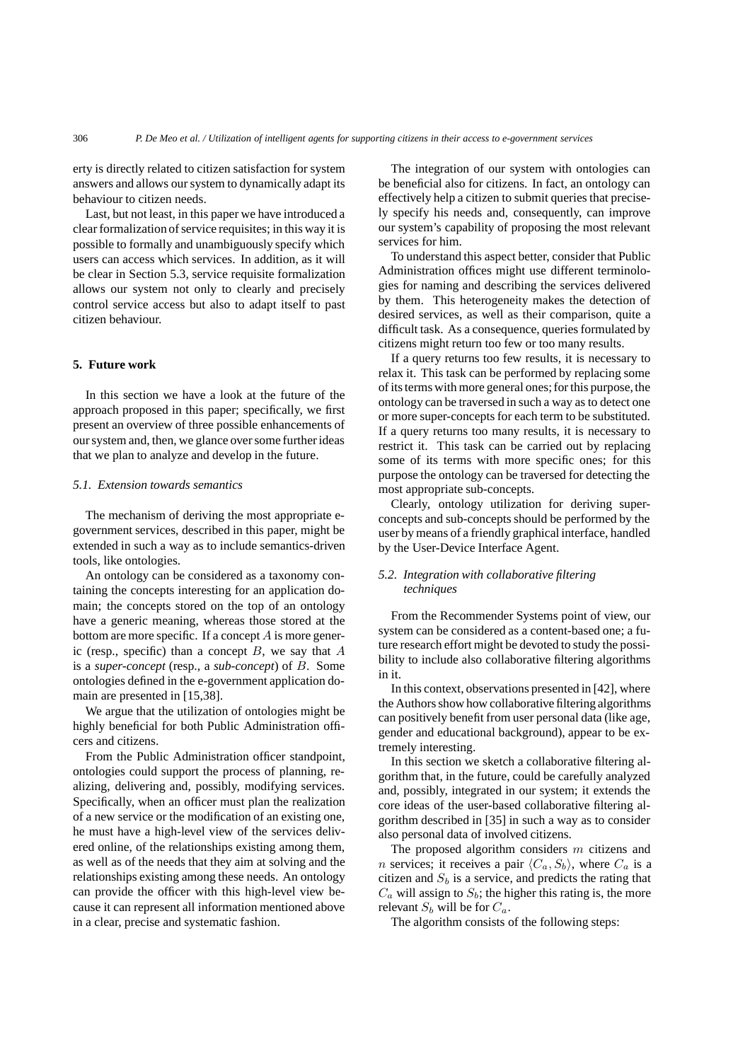erty is directly related to citizen satisfaction for system answers and allows our system to dynamically adapt its behaviour to citizen needs.

Last, but not least, in this paper we have introduced a clear formalization of service requisites; in this way it is possible to formally and unambiguously specify which users can access which services. In addition, as it will be clear in Section 5.3, service requisite formalization allows our system not only to clearly and precisely control service access but also to adapt itself to past citizen behaviour.

# **5. Future work**

In this section we have a look at the future of the approach proposed in this paper; specifically, we first present an overview of three possible enhancements of our system and, then, we glance over some further ideas that we plan to analyze and develop in the future.

#### *5.1. Extension towards semantics*

The mechanism of deriving the most appropriate egovernment services, described in this paper, might be extended in such a way as to include semantics-driven tools, like ontologies.

An ontology can be considered as a taxonomy containing the concepts interesting for an application domain; the concepts stored on the top of an ontology have a generic meaning, whereas those stored at the bottom are more specific. If a concept  $A$  is more generic (resp., specific) than a concept  $B$ , we say that  $A$ is a *super-concept* (resp., a *sub-concept*) of B. Some ontologies defined in the e-government application domain are presented in [15,38].

We argue that the utilization of ontologies might be highly beneficial for both Public Administration officers and citizens.

From the Public Administration officer standpoint, ontologies could support the process of planning, realizing, delivering and, possibly, modifying services. Specifically, when an officer must plan the realization of a new service or the modification of an existing one, he must have a high-level view of the services delivered online, of the relationships existing among them, as well as of the needs that they aim at solving and the relationships existing among these needs. An ontology can provide the officer with this high-level view because it can represent all information mentioned above in a clear, precise and systematic fashion.

The integration of our system with ontologies can be beneficial also for citizens. In fact, an ontology can effectively help a citizen to submit queries that precisely specify his needs and, consequently, can improve our system's capability of proposing the most relevant services for him.

To understand this aspect better, consider that Public Administration offices might use different terminologies for naming and describing the services delivered by them. This heterogeneity makes the detection of desired services, as well as their comparison, quite a difficult task. As a consequence, queries formulated by citizens might return too few or too many results.

If a query returns too few results, it is necessary to relax it. This task can be performed by replacing some of its terms with more general ones; for this purpose, the ontology can be traversed in such a way as to detect one or more super-concepts for each term to be substituted. If a query returns too many results, it is necessary to restrict it. This task can be carried out by replacing some of its terms with more specific ones; for this purpose the ontology can be traversed for detecting the most appropriate sub-concepts.

Clearly, ontology utilization for deriving superconcepts and sub-concepts should be performed by the user by means of a friendly graphical interface, handled by the User-Device Interface Agent.

# *5.2. Integration with collaborative filtering techniques*

From the Recommender Systems point of view, our system can be considered as a content-based one; a future research effort might be devoted to study the possibility to include also collaborative filtering algorithms in it.

In this context, observations presented in [42], where the Authors show how collaborative filtering algorithms can positively benefit from user personal data (like age, gender and educational background), appear to be extremely interesting.

In this section we sketch a collaborative filtering algorithm that, in the future, could be carefully analyzed and, possibly, integrated in our system; it extends the core ideas of the user-based collaborative filtering algorithm described in [35] in such a way as to consider also personal data of involved citizens.

The proposed algorithm considers m citizens and *n* services; it receives a pair  $\langle C_a, S_b \rangle$ , where  $C_a$  is a citizen and  $S_b$  is a service, and predicts the rating that  $C_a$  will assign to  $S_b$ ; the higher this rating is, the more relevant  $S_b$  will be for  $C_a$ .

The algorithm consists of the following steps: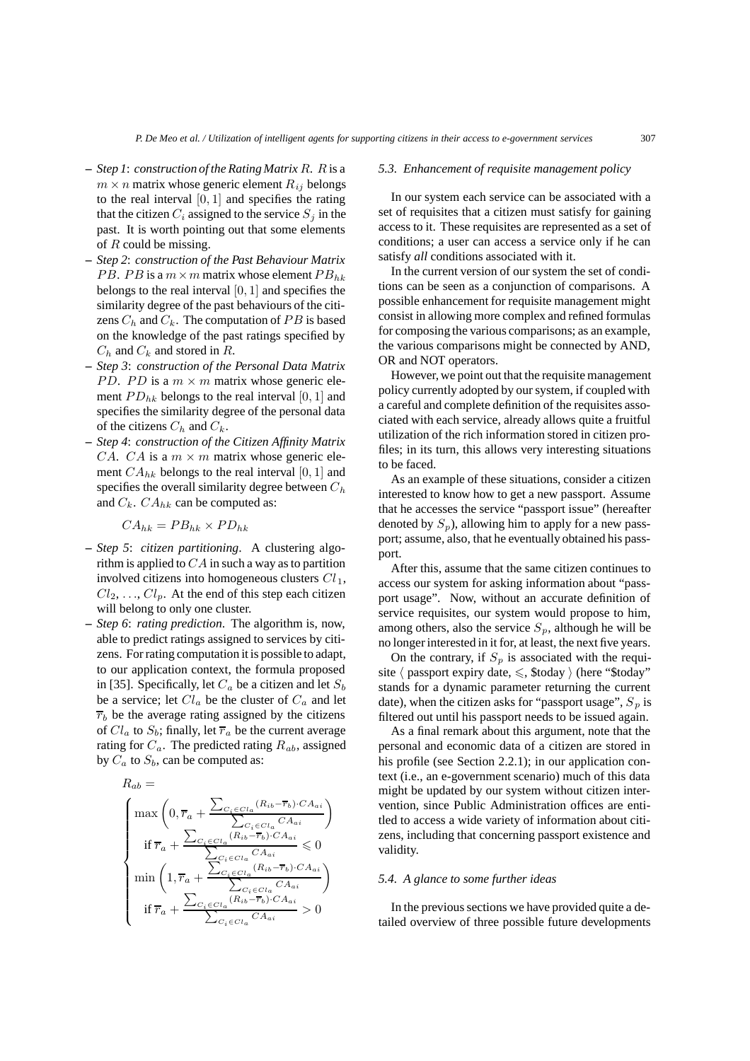- **–** *Step 1*: *construction of the Rating Matrix* R. R is a  $m \times n$  matrix whose generic element  $R_{ij}$  belongs to the real interval  $[0, 1]$  and specifies the rating that the citizen  $C_i$  assigned to the service  $S_i$  in the past. It is worth pointing out that some elements of  $R$  could be missing.
- **–** *Step 2*: *construction of the Past Behaviour Matrix PB*. *PB* is a  $m \times m$  matrix whose element  $PB_{hk}$ belongs to the real interval  $[0, 1]$  and specifies the similarity degree of the past behaviours of the citizens  $C_h$  and  $C_k$ . The computation of PB is based on the knowledge of the past ratings specified by  $C_h$  and  $C_k$  and stored in  $R$ .
- **–** *Step 3*: *construction of the Personal Data Matrix PD. PD* is a  $m \times m$  matrix whose generic element  $PD_{hk}$  belongs to the real interval [0, 1] and specifies the similarity degree of the personal data of the citizens  $C_h$  and  $C_k$ .
- **–** *Step 4*: *construction of the Citizen Affinity Matrix* CA. CA is a  $m \times m$  matrix whose generic element  $CA_{hk}$  belongs to the real interval [0, 1] and specifies the overall similarity degree between C*<sup>h</sup>* and  $C_k$ .  $CA_{hk}$  can be computed as:

$$
CA_{hk} = PB_{hk} \times PD_{hk}
$$

- **–** *Step 5*: *citizen partitioning*. A clustering algorithm is applied to  $CA$  in such a way as to partition involved citizens into homogeneous clusters  $Cl_1$ ,  $Cl_2, \ldots, Cl_p$ . At the end of this step each citizen will belong to only one cluster.
- **–** *Step 6*: *rating prediction*. The algorithm is, now, able to predict ratings assigned to services by citizens. For rating computation it is possible to adapt, to our application context, the formula proposed in [35]. Specifically, let  $C_a$  be a citizen and let  $S_b$ be a service; let  $Cl_a$  be the cluster of  $C_a$  and let  $\overline{r}_b$  be the average rating assigned by the citizens of  $Cl_a$  to  $S_b$ ; finally, let  $\overline{r}_a$  be the current average rating for  $C_a$ . The predicted rating  $R_{ab}$ , assigned by  $C_a$  to  $S_b$ , can be computed as:

$$
R_{ab} = \sqrt{\max \left(0, \overline{r}_a + \frac{\sum_{C_i \in Cl_a} (R_{ib} - \overline{r}_b) \cdot CA_{ai}}{\sum_{C_i \in Cl_a} CA_{ai}}\right)}
$$
  

$$
\text{if } \overline{r}_a + \frac{\sum_{C_i \in Cl_a} (R_{ib} - \overline{r}_b) \cdot CA_{ai}}{\sum_{C_i \in Cl_a} CA_{ai}} \leq 0
$$
  

$$
\min \left(1, \overline{r}_a + \frac{\sum_{C_i \in Cl_a} (R_{ib} - \overline{r}_b) \cdot CA_{ai}}{\sum_{C_i \in Cl_a} CA_{ai}}\right)}
$$
  

$$
\text{if } \overline{r}_a + \frac{\sum_{C_i \in Cl_a} (R_{ib} - \overline{r}_b) \cdot CA_{ai}}{\sum_{C_i \in Cl_a} CA_{ai}} > 0
$$

#### *5.3. Enhancement of requisite management policy*

In our system each service can be associated with a set of requisites that a citizen must satisfy for gaining access to it. These requisites are represented as a set of conditions; a user can access a service only if he can satisfy *all* conditions associated with it.

In the current version of our system the set of conditions can be seen as a conjunction of comparisons. A possible enhancement for requisite management might consist in allowing more complex and refined formulas for composing the various comparisons; as an example, the various comparisons might be connected by AND, OR and NOT operators.

However, we point out that the requisite management policy currently adopted by our system, if coupled with a careful and complete definition of the requisites associated with each service, already allows quite a fruitful utilization of the rich information stored in citizen profiles; in its turn, this allows very interesting situations to be faced.

As an example of these situations, consider a citizen interested to know how to get a new passport. Assume that he accesses the service "passport issue" (hereafter denoted by  $S_p$ ), allowing him to apply for a new passport; assume, also, that he eventually obtained his passport.

After this, assume that the same citizen continues to access our system for asking information about "passport usage". Now, without an accurate definition of service requisites, our system would propose to him, among others, also the service  $S_p$ , although he will be no longer interested in it for, at least, the next five years.

On the contrary, if  $S_p$  is associated with the requisite  $\langle$  passport expiry date,  $\leq$ , \$today  $\rangle$  (here "\$today" stands for a dynamic parameter returning the current date), when the citizen asks for "passport usage",  $S_p$  is filtered out until his passport needs to be issued again.

As a final remark about this argument, note that the personal and economic data of a citizen are stored in his profile (see Section 2.2.1); in our application context (i.e., an e-government scenario) much of this data might be updated by our system without citizen intervention, since Public Administration offices are entitled to access a wide variety of information about citizens, including that concerning passport existence and validity.

#### *5.4. A glance to some further ideas*

In the previous sections we have provided quite a detailed overview of three possible future developments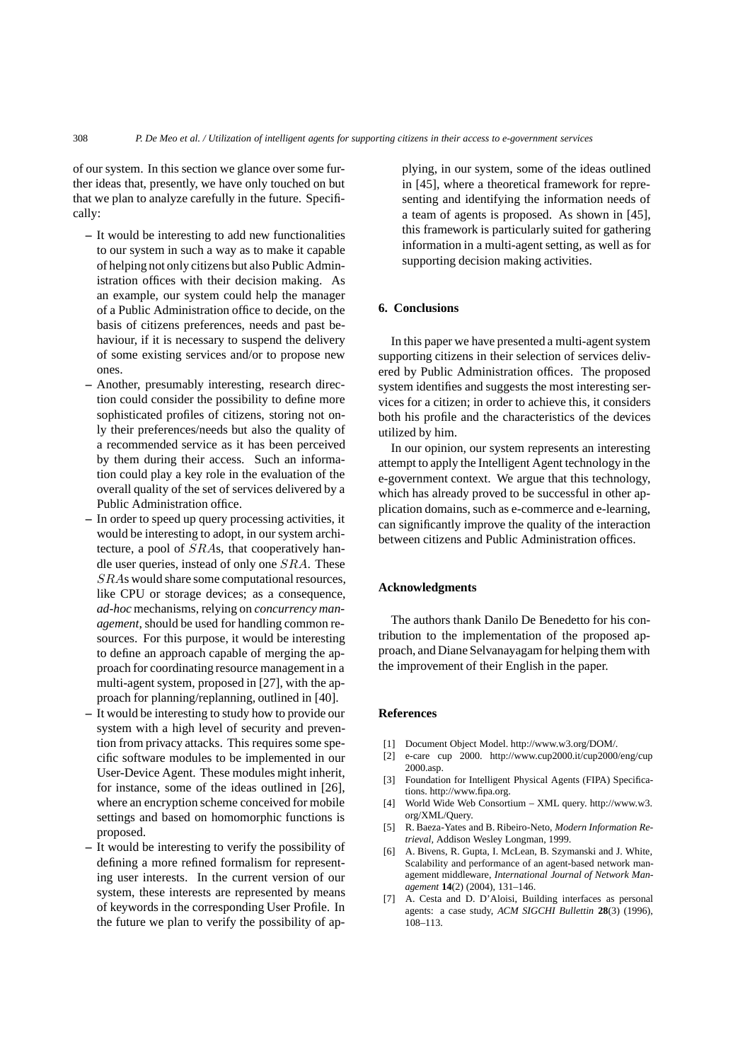of our system. In this section we glance over some further ideas that, presently, we have only touched on but that we plan to analyze carefully in the future. Specifically:

- **–** It would be interesting to add new functionalities to our system in such a way as to make it capable of helping not only citizens but also Public Administration offices with their decision making. As an example, our system could help the manager of a Public Administration office to decide, on the basis of citizens preferences, needs and past behaviour, if it is necessary to suspend the delivery of some existing services and/or to propose new ones.
- **–** Another, presumably interesting, research direction could consider the possibility to define more sophisticated profiles of citizens, storing not only their preferences/needs but also the quality of a recommended service as it has been perceived by them during their access. Such an information could play a key role in the evaluation of the overall quality of the set of services delivered by a Public Administration office.
- **–** In order to speed up query processing activities, it would be interesting to adopt, in our system architecture, a pool of SRAs, that cooperatively handle user queries, instead of only one SRA. These SRAs would share some computational resources, like CPU or storage devices; as a consequence, *ad-hoc* mechanisms, relying on *concurrency management*, should be used for handling common resources. For this purpose, it would be interesting to define an approach capable of merging the approach for coordinating resource management in a multi-agent system, proposed in [27], with the approach for planning/replanning, outlined in [40].
- **–** It would be interesting to study how to provide our system with a high level of security and prevention from privacy attacks. This requires some specific software modules to be implemented in our User-Device Agent. These modules might inherit, for instance, some of the ideas outlined in [26], where an encryption scheme conceived for mobile settings and based on homomorphic functions is proposed.
- **–** It would be interesting to verify the possibility of defining a more refined formalism for representing user interests. In the current version of our system, these interests are represented by means of keywords in the corresponding User Profile. In the future we plan to verify the possibility of ap-

plying, in our system, some of the ideas outlined in [45], where a theoretical framework for representing and identifying the information needs of a team of agents is proposed. As shown in [45], this framework is particularly suited for gathering information in a multi-agent setting, as well as for supporting decision making activities.

# **6. Conclusions**

In this paper we have presented a multi-agent system supporting citizens in their selection of services delivered by Public Administration offices. The proposed system identifies and suggests the most interesting services for a citizen; in order to achieve this, it considers both his profile and the characteristics of the devices utilized by him.

In our opinion, our system represents an interesting attempt to apply the Intelligent Agent technology in the e-government context. We argue that this technology, which has already proved to be successful in other application domains, such as e-commerce and e-learning, can significantly improve the quality of the interaction between citizens and Public Administration offices.

#### **Acknowledgments**

The authors thank Danilo De Benedetto for his contribution to the implementation of the proposed approach, and Diane Selvanayagam for helping them with the improvement of their English in the paper.

#### **References**

- [1] Document Object Model. http://www.w3.org/DOM/.
- [2] e-care cup 2000. http://www.cup2000.it/cup2000/eng/cup 2000.asp.
- [3] Foundation for Intelligent Physical Agents (FIPA) Specifications. http://www.fipa.org.
- [4] World Wide Web Consortium XML query. http://www.w3. org/XML/Query.
- [5] R. Baeza-Yates and B. Ribeiro-Neto, *Modern Information Retrieval,* Addison Wesley Longman, 1999.
- [6] A. Bivens, R. Gupta, I. McLean, B. Szymanski and J. White, Scalability and performance of an agent-based network management middleware, *International Journal of Network Management* **14**(2) (2004), 131–146.
- [7] A. Cesta and D. D'Aloisi, Building interfaces as personal agents: a case study, *ACM SIGCHI Bullettin* **28**(3) (1996), 108–113.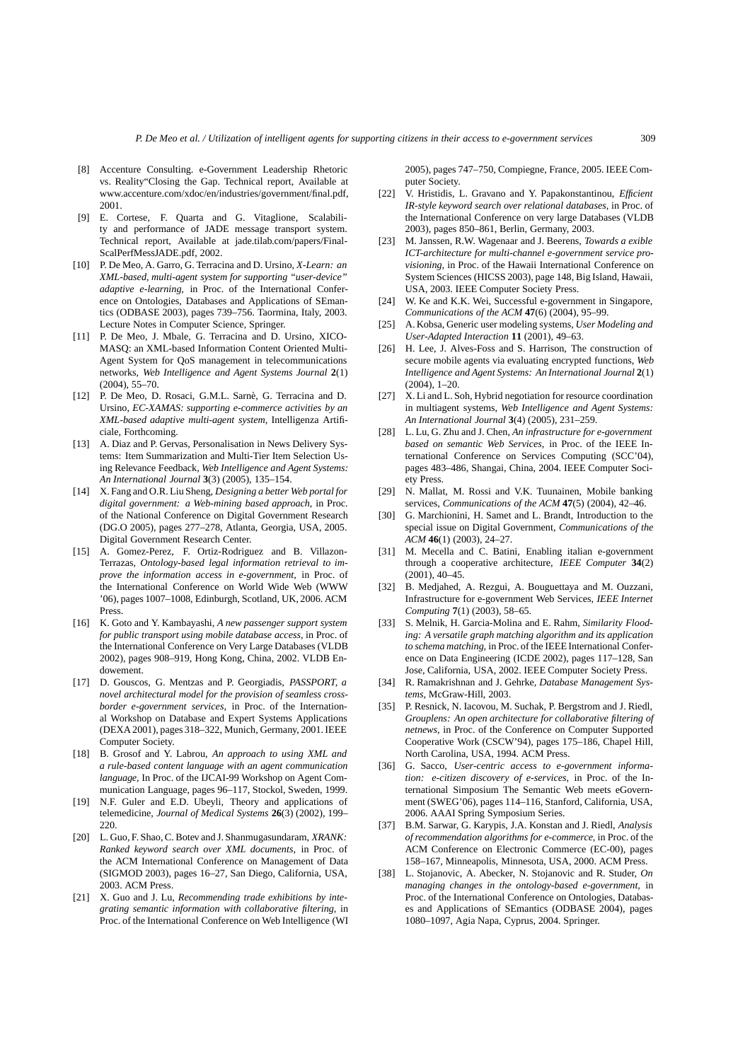- [8] Accenture Consulting. e-Government Leadership Rhetoric vs. Reality"Closing the Gap. Technical report, Available at www.accenture.com/xdoc/en/industries/government/final.pdf, 2001.
- [9] E. Cortese, F. Quarta and G. Vitaglione, Scalability and performance of JADE message transport system. Technical report, Available at jade.tilab.com/papers/Final-ScalPerfMessJADE.pdf, 2002.
- [10] P. De Meo, A. Garro, G. Terracina and D. Ursino, *X-Learn: an XML-based, multi-agent system for supporting "user-device" adaptive e-learning,* in Proc. of the International Conference on Ontologies, Databases and Applications of SEmantics (ODBASE 2003), pages 739–756. Taormina, Italy, 2003. Lecture Notes in Computer Science, Springer.
- [11] P. De Meo, J. Mbale, G. Terracina and D. Ursino, XICO-MASQ: an XML-based Information Content Oriented Multi-Agent System for QoS management in telecommunications networks, *Web Intelligence and Agent Systems Journal* **2**(1) (2004), 55–70.
- [12] P. De Meo, D. Rosaci, G.M.L. Sarnè, G. Terracina and D. Ursino, *EC-XAMAS: supporting e-commerce activities by an XML-based adaptive multi-agent system,* Intelligenza Artificiale, Forthcoming.
- [13] A. Diaz and P. Gervas, Personalisation in News Delivery Systems: Item Summarization and Multi-Tier Item Selection Using Relevance Feedback, *Web Intelligence and Agent Systems: An International Journal* **3**(3) (2005), 135–154.
- [14] X. Fang and O.R. Liu Sheng, *Designing a better Web portal for digital government: a Web-mining based approach,* in Proc. of the National Conference on Digital Government Research (DG.O 2005), pages 277–278, Atlanta, Georgia, USA, 2005. Digital Government Research Center.
- [15] A. Gomez-Perez, F. Ortiz-Rodriguez and B. Villazon-Terrazas, *Ontology-based legal information retrieval to improve the information access in e-government,* in Proc. of the International Conference on World Wide Web (WWW '06), pages 1007–1008, Edinburgh, Scotland, UK, 2006. ACM Press.
- [16] K. Goto and Y. Kambayashi, *A new passenger support system for public transport using mobile database access,* in Proc. of the International Conference on Very Large Databases (VLDB 2002), pages 908–919, Hong Kong, China, 2002. VLDB Endowement.
- [17] D. Gouscos, G. Mentzas and P. Georgiadis, *PASSPORT, a novel architectural model for the provision of seamless crossborder e-government services,* in Proc. of the International Workshop on Database and Expert Systems Applications (DEXA 2001), pages 318–322, Munich, Germany, 2001. IEEE Computer Society.
- [18] B. Grosof and Y. Labrou, *An approach to using XML and a rule-based content language with an agent communication language,* In Proc. of the IJCAI-99 Workshop on Agent Communication Language, pages 96–117, Stockol, Sweden, 1999.
- [19] N.F. Guler and E.D. Ubeyli, Theory and applications of telemedicine, *Journal of Medical Systems* **26**(3) (2002), 199– 220.
- [20] L. Guo, F. Shao, C. Botev and J. Shanmugasundaram, *XRANK: Ranked keyword search over XML documents,* in Proc. of the ACM International Conference on Management of Data (SIGMOD 2003), pages 16–27, San Diego, California, USA, 2003. ACM Press.
- [21] X. Guo and J. Lu, *Recommending trade exhibitions by integrating semantic information with collaborative filtering,* in Proc. of the International Conference on Web Intelligence (WI

2005), pages 747–750, Compiegne, France, 2005. IEEE Computer Society.

- [22] V. Hristidis, L. Gravano and Y. Papakonstantinou, *Efficient IR-style keyword search over relational databases,* in Proc. of the International Conference on very large Databases (VLDB 2003), pages 850–861, Berlin, Germany, 2003.
- [23] M. Janssen, R.W. Wagenaar and J. Beerens, *Towards a exible ICT-architecture for multi-channel e-government service provisioning,* in Proc. of the Hawaii International Conference on System Sciences (HICSS 2003), page 148, Big Island, Hawaii, USA, 2003. IEEE Computer Society Press.
- [24] W. Ke and K.K. Wei, Successful e-government in Singapore, *Communications of the ACM* **47**(6) (2004), 95–99.
- [25] A. Kobsa, Generic user modeling systems, *User Modeling and User-Adapted Interaction* **11** (2001), 49–63.
- [26] H. Lee, J. Alves-Foss and S. Harrison, The construction of secure mobile agents via evaluating encrypted functions, *Web Intelligence and Agent Systems: An International Journal* **2**(1) (2004), 1–20.
- [27] X. Li and L. Soh, Hybrid negotiation for resource coordination in multiagent systems, *Web Intelligence and Agent Systems: An International Journal* **3**(4) (2005), 231–259.
- [28] L. Lu, G. Zhu and J. Chen, *An infrastructure for e-government based on semantic Web Services,* in Proc. of the IEEE International Conference on Services Computing (SCC'04), pages 483–486, Shangai, China, 2004. IEEE Computer Society Press.
- [29] N. Mallat, M. Rossi and V.K. Tuunainen, Mobile banking services, *Communications of the ACM* **47**(5) (2004), 42–46.
- [30] G. Marchionini, H. Samet and L. Brandt, Introduction to the special issue on Digital Government, *Communications of the ACM* **46**(1) (2003), 24–27.
- [31] M. Mecella and C. Batini, Enabling italian e-government through a cooperative architecture, *IEEE Computer* **34**(2) (2001), 40–45.
- [32] B. Medjahed, A. Rezgui, A. Bouguettaya and M. Ouzzani, Infrastructure for e-government Web Services, *IEEE Internet Computing* **7**(1) (2003), 58–65.
- [33] S. Melnik, H. Garcia-Molina and E. Rahm, *Similarity Flooding: A versatile graph matching algorithm and its application to schema matching,* in Proc. of the IEEE International Conference on Data Engineering (ICDE 2002), pages 117–128, San Jose, California, USA, 2002. IEEE Computer Society Press.
- [34] R. Ramakrishnan and J. Gehrke, *Database Management Systems,* McGraw-Hill, 2003.
- [35] P. Resnick, N. Iacovou, M. Suchak, P. Bergstrom and J. Riedl, *Grouplens: An open architecture for collaborative filtering of netnews,* in Proc. of the Conference on Computer Supported Cooperative Work (CSCW'94), pages 175–186, Chapel Hill, North Carolina, USA, 1994. ACM Press.
- [36] G. Sacco, *User-centric access to e-government information: e-citizen discovery of e-services,* in Proc. of the International Simposium The Semantic Web meets eGovernment (SWEG'06), pages 114–116, Stanford, California, USA, 2006. AAAI Spring Symposium Series.
- [37] B.M. Sarwar, G. Karypis, J.A. Konstan and J. Riedl, *Analysis of recommendation algorithms for e-commerce,* in Proc. of the ACM Conference on Electronic Commerce (EC-00), pages 158–167, Minneapolis, Minnesota, USA, 2000. ACM Press.
- [38] L. Stojanovic, A. Abecker, N. Stojanovic and R. Studer, *On managing changes in the ontology-based e-government,* in Proc. of the International Conference on Ontologies, Databases and Applications of SEmantics (ODBASE 2004), pages 1080–1097, Agia Napa, Cyprus, 2004. Springer.